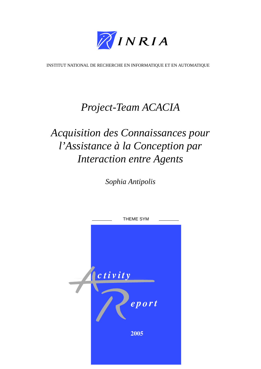

[INSTITUT NATIONAL DE RECHERCHE EN INFORMATIQUE ET EN AUTOMATIQUE](http://www.inria.fr)

# *[Project-Team ACACIA](http://www.inria.fr/recherche/equipes/acacia.en.html)*

# *Acquisition des Connaissances pour l'Assistance à la Conception par Interaction entre Agents*

*[Sophia Antipolis](http://www.inria.fr/inria/organigramme/fiche_ur-sop.en.html)*

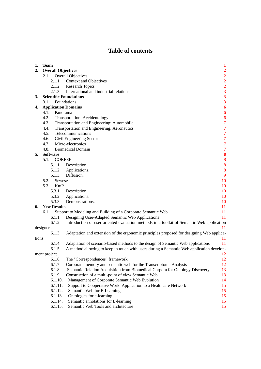## **Table of contents**

| 1.    | <b>Team</b>                                                                                         | 1                                               |  |  |  |
|-------|-----------------------------------------------------------------------------------------------------|-------------------------------------------------|--|--|--|
| 2.    | <b>Overall Objectives</b>                                                                           |                                                 |  |  |  |
|       | Overall Objectives<br>2.1.                                                                          | $\begin{array}{c} 2 \\ 2 \\ 2 \\ 3 \end{array}$ |  |  |  |
|       | 2.1.1.<br>Context and Objectives                                                                    |                                                 |  |  |  |
|       | <b>Research Topics</b><br>2.1.2.                                                                    |                                                 |  |  |  |
|       | International and industrial relations<br>2.1.3.                                                    |                                                 |  |  |  |
| 3.    | <b>Scientific Foundations</b>                                                                       | $\overline{\mathbf{3}}$                         |  |  |  |
|       | Foundations<br>3.1.                                                                                 | $\overline{\mathbf{3}}$                         |  |  |  |
| 4.    | <b>Application Domains</b>                                                                          | 6                                               |  |  |  |
|       | Panorama<br>4.1.                                                                                    | 6                                               |  |  |  |
|       | 4.2.<br>Transportation: Accidentology                                                               | 6                                               |  |  |  |
|       | Transportation and Engineering: Automobile<br>4.3.                                                  | $\overline{7}$                                  |  |  |  |
|       | 4.4.<br>Transportation and Engineering: Aeronautics                                                 | $\overline{7}$                                  |  |  |  |
|       | 4.5.<br>Telecommunications                                                                          | $\overline{7}$                                  |  |  |  |
|       | 4.6.<br>Civil Engineering Sector                                                                    | $\overline{7}$                                  |  |  |  |
|       | Micro-electronics<br>4.7.                                                                           | $\overline{7}$                                  |  |  |  |
|       | 4.8.<br><b>Biomedical Domain</b>                                                                    | $\overline{7}$                                  |  |  |  |
| 5.    | <b>Software</b>                                                                                     | 8                                               |  |  |  |
|       | 5.1.<br><b>CORESE</b>                                                                               | 8                                               |  |  |  |
|       | 5.1.1. Description.                                                                                 | 8                                               |  |  |  |
|       | 5.1.2.<br>Applications.                                                                             | 8                                               |  |  |  |
|       | 5.1.3. Diffusion.                                                                                   | 9                                               |  |  |  |
|       | 5.2.<br>10<br>Sewese                                                                                |                                                 |  |  |  |
|       | 5.3.<br>KmP                                                                                         | 10                                              |  |  |  |
|       | 5.3.1.<br>Description.                                                                              | 10                                              |  |  |  |
|       | 5.3.2.<br>Applications.                                                                             | 10                                              |  |  |  |
|       | 5.3.3.<br>Demonstrations.                                                                           | 10                                              |  |  |  |
| 6.    | <b>New Results</b>                                                                                  | 11                                              |  |  |  |
|       | Support to Modeling and Building of a Corporate Semantic Web<br>6.1.                                | 11                                              |  |  |  |
|       | Designing User-Adapted Semantic Web Applications<br>6.1.1.                                          | 11                                              |  |  |  |
|       | 6.1.2.<br>Introduction of user-oriented evaluation methods in a toolkit of Semantic Web application |                                                 |  |  |  |
|       | designers                                                                                           | 11                                              |  |  |  |
|       | 6.1.3.<br>Adaptation and extension of the ergonomic principles proposed for designing Web applica-  |                                                 |  |  |  |
| tions |                                                                                                     | 11                                              |  |  |  |
|       | Adaptation of scenario-based methods to the design of Semantic Web applications<br>6.1.4.           | 11                                              |  |  |  |
|       | 6.1.5.<br>A method allowing to keep in touch with users during a Semantic Web application develop-  |                                                 |  |  |  |
|       | ment project                                                                                        | 12                                              |  |  |  |
|       | The "Correspondences" framework<br>6.1.6.                                                           | 12                                              |  |  |  |
|       | 6.1.7.<br>Corporate memory and semantic web for the Transcriptome Analysis                          | 12                                              |  |  |  |
|       | 6.1.8.<br>Semantic Relation Acquisition from Biomedical Corpora for Ontology Discovery              | 13                                              |  |  |  |
|       | 6.1.9.<br>Construction of a multi-point of view Semantic Web                                        | 13                                              |  |  |  |
|       | Management of Corporate Semantic Web Evolution<br>6.1.10.                                           | 14                                              |  |  |  |
|       | 6.1.11.<br>Support to Cooperative Work: Application to a Healthcare Network                         | 15                                              |  |  |  |
|       | 6.1.12.<br>Semantic Web for E-Learning                                                              | 15                                              |  |  |  |
|       | 6.1.13.<br>Ontologies for e-learning                                                                | 15                                              |  |  |  |
|       | 6.1.14.<br>Semantic annotations for E-learning                                                      | 15                                              |  |  |  |
|       | 6.1.15.<br>Semantic Web Tools and architecture                                                      | 15                                              |  |  |  |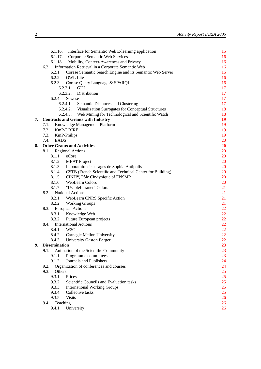|    | Interface for Semantic Web E-learning application<br>6.1.16.        | 15        |
|----|---------------------------------------------------------------------|-----------|
|    | 6.1.17. Corporate Semantic Web Services                             | 16        |
|    | 6.1.18. Mobility, Context-Awareness and Privacy                     | 16        |
|    | 6.2. Information Retrieval in a Corporate Semantic Web              | 16        |
|    | 6.2.1.<br>Corese Semantic Search Engine and its Semantic Web Server | 16        |
|    | 6.2.2.<br><b>OWL</b> Lite                                           | 16        |
|    | 6.2.3.<br>Corese Query Language & SPARQL                            | 16        |
|    | 6.2.3.1. GUI                                                        | 17        |
|    | 6.2.3.2. Distribution                                               | 17        |
|    | 6.2.4.<br>Sewese                                                    | 17        |
|    | 6.2.4.1. Semantic Distances and Clustering                          | 17        |
|    | 6.2.4.2. Visualization Surrogates for Conceptual Structures         | 18        |
|    | 6.2.4.3. Web Mining for Technological and Scientific Watch          | 18        |
| 7. | <b>Contracts and Grants with Industry</b>                           | 19        |
|    | 7.1. Knowledge Management Platform                                  | 19        |
|    | 7.2. KmP-DRIRE                                                      | 19        |
|    | 7.3. KmP-Philips                                                    | 19        |
|    | 7.4. EADS                                                           | 20        |
| 8. | <b>Other Grants and Activities</b>                                  | <b>20</b> |
|    | 8.1. Regional Actions                                               | 20        |
|    | 8.1.1. eCore                                                        | 20        |
|    | 8.1.2. MEAT Project                                                 | 20        |
|    | 8.1.3. Laboratoire des usages de Sophia Antipolis                   | 20        |
|    | 8.1.4. CSTB (French Scientific and Technical Center for Building)   | 20        |
|    | 8.1.5.<br>CINDY, Pôle Cindynique of ENSMP                           | 20        |
|    | 8.1.6. WebLearn Colors                                              | 20        |
|    | 8.1.7.<br>"UsableIntranet" Colors                                   | 21        |
|    | <b>National Actions</b><br>8.2.                                     | 21        |
|    | 8.2.1. WebLearn CNRS Specific Action                                | 21        |
|    | 8.2.2.<br><b>Working Groups</b>                                     | 21        |
|    | 8.3. European Actions                                               | 22        |
|    | 8.3.1. Knowledge Web                                                | 22        |
|    | 8.3.2. Future European projects                                     | 22        |
|    | 8.4. International Actions                                          | 22        |
|    | 8.4.1. W3C                                                          | 22        |
|    | 8.4.2. Carnegie Mellon University                                   | 22        |
|    | 8.4.3. University Gaston Berger                                     | 22        |
| 9. | <b>Dissemination</b>                                                | 23        |
|    | 9.1.<br>Animation of the Scientific Community                       | 23        |
|    | 9.1.1.<br>Programme committees                                      | 23        |
|    | Journals and Publishers<br>9.1.2.                                   | 24        |
|    | Organization of conferences and courses<br>9.2.                     | 24        |
|    | 9.3.<br>Others                                                      | 25        |
|    | 9.3.1.<br>Prices                                                    | 25        |
|    | Scientific Councils and Evaluation tasks<br>9.3.2.                  | 25        |
|    | 9.3.3.<br><b>International Working Groups</b>                       | 25        |
|    | Collective tasks<br>9.3.4.                                          | 25        |
|    | 9.3.5.<br><b>Visits</b>                                             | 26        |
|    | Teaching<br>9.4.                                                    | 26        |
|    | University<br>9.4.1.                                                | 26        |
|    |                                                                     |           |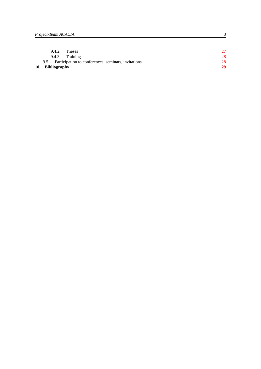| 10. Bibliography                                         | 29 |
|----------------------------------------------------------|----|
| 9.5. Participation to conferences, seminars, invitations | 28 |
| 9.4.3. Training                                          | 28 |
| 9.4.2. Theses                                            | 27 |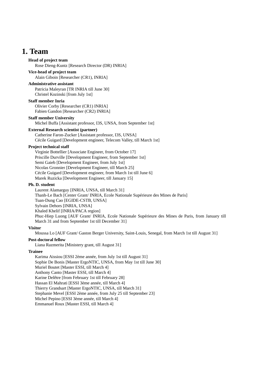## **1. Team**

<span id="page-6-0"></span>**Head of project team** Rose Dieng-Kuntz [Research Director (DR) INRIA]

#### **Vice-head of project team**

Alain Giboin [Researcher (CR1), INRIA]

#### **Administrative assistant**

Patricia Maleyran [TR INRIA till June 30] Christel Kozinski [from July 1st]

#### **Staff member Inria**

Olivier Corby [Researcher (CR1) INRIA] Fabien Gandon [Researcher (CR2) INRIA]

#### **Staff member University**

Michel Buffa [Assistant professor, I3S, UNSA, from September 1st]

#### **External Research scientist (partner)**

Catherine Faron-Zucker [Assistant professor, I3S, UNSA] Cécile Guigard [Development engineer, Telecom Valley, till March 1st]

### **Project technical staff**

Virginie Bottellier [Associate Engineer, from October 17] Priscille Durville [Development Engineer, from September 1st] Semi Gaieb [Development Engineer, from July 1st] Nicolas Gronnier [Development Engineer, till March 25] Cécile Guigard [Development engineer, from March 1st till June 6] Marek Ruzicka [Development Engineer, till January 15]

#### **Ph. D. student**

Laurent Alamarguy [INRIA, UNSA, till March 31] Thanh-Le Bach [Center Grant/ INRIA, Ecole Nationale Supérieure des Mines de Paris] Tuan-Dung Cao [EGIDE-CSTB, UNSA] Sylvain Dehors [INRIA, UNSA] Khaled Khelif [INRIA/PACA region] Phuc-Hiep Luong [AUF Grant/ INRIA, Ecole Nationale Supérieure des Mines de Paris, from January till March 31 and from September 1st till December 31]

#### **Visitor**

Moussa Lo [AUF Grant/ Gaston Berger University, Saint-Louis, Senegal, from March 1st till August 31]

### **Post-doctoral fellow**

Liana Razmerita [Ministery grant, till August 31]

### **Trainee**

Karima Aissiou [ESSI 2ème année, from July 1st till August 31] Sophie De Bonis [Master ErgoNTIC, UNSA, from May 1st till June 30] Muriel Boutet [Master ESSI, till March 4] Anthony Canto [Master ESSI, till March 4] Karine Delêtre [from February 1st till February 28] Hassan El Mahrati [ESSI 3ème année, till March 4] Thierry Grandsart [Master ErgoNTIC, UNSA, till March 31] Stephanie Mevel [ESSI 2ème année, from July 25 till September 23] Michel Pepino [ESSI 3ème année, till March 4] Emmanuel Roux [Master ESSI, till March 4]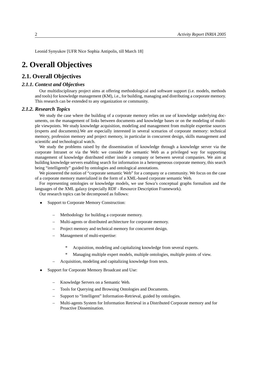<span id="page-7-0"></span>Leonid Synyukov [UFR Nice Sophia Antipolis, till March 18]

## **2. Overall Objectives**

## <span id="page-7-1"></span>**2.1. Overall Objectives**

### *2.1.1. Context and Objectives*

<span id="page-7-2"></span>Our multidisciplinary project aims at offering methodological and software support (i.e. models, methods and tools) for knowledge management (KM), i.e., for building, managing and distributing a corporate memory. This research can be extended to any organization or community.

#### *2.1.2. Research Topics*

<span id="page-7-3"></span>We study the case where the building of a corporate memory relies on use of knowledge underlying documents, on the management of links between documents and knowledge bases or on the modeling of multiple viewpoints. We study knowledge acquisition, modeling and management from multiple expertise sources (experts and documents).We are especially interested in several scenarios of corporate memory: technical memory, profession memory and project memory, in particular in concurrent design, skills management and scientific and technological watch.

We study the problems raised by the dissemination of knowledge through a knowledge server via the corporate Intranet or via the Web: we consider the semantic Web as a privileged way for supporting management of knowledge distributed either inside a company or between several companies. We aim at building knowledge servers enabling search for information in a heterogeneous corporate memory, this search being "intelligently" guided by ontologies and ontological annotations.

We pioneered the notion of "corporate semantic Web" for a company or a community. We focus on the case of a corporate memory materialized in the form of a XML-based corporate semantic Web.

For representing ontologies or knowledge models, we use Sowa's conceptual graphs formalism and the languages of the XML galaxy (especially RDF - Resource Description Framework).

Our research topics can be decomposed as follows:

- Support to Corporate Memory Construction:
	- Methodology for building a corporate memory.
	- Multi-agents or distributed architecture for corporate memory.
	- Project memory and technical memory for concurrent design.
	- Management of multi-expertise:
		- Acquisition, modeling and capitalizing knowledge from several experts.
		- Managing multiple expert models, multiple ontologies, multiple points of view.
	- Acquisition, modeling and capitalizing knowledge from texts.
- Support for Corporate Memory Broadcast and Use:
	- Knowledge Servers on a Semantic Web.
	- Tools for Querying and Browsing Ontologies and Documents.
	- Support to "Intelligent" Information-Retrieval, guided by ontologies.
	- Multi-agents System for Information Retrieval in a Distributed Corporate memory and for Proactive Dissemination.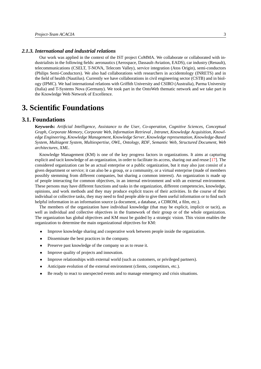#### *2.1.3. International and industrial relations*

<span id="page-8-0"></span>Our work was applied in the context of the IST project CoMMA. We collaborate or collaborated with industrialists in the following fields: aeronautics (Aerospace, Dassault-Aviation, EADS), car industry (Renault), telecommunications (CSELT, T-NOVA, Telecom Valley), service integration (Atos Origin), semi-conductors (Philips Semi-Conductors). We also had collaborations with researchers in accidentology (INRETS) and in the field of health (Nautilus). Currently we have collaborations in civil engineering sector (CSTB) and in biology (IPMC). We had international relations with Griffith University and CSIRO (Australia), Parma University (Italia) and T-Systems Nova (Germany). We took part in the OntoWeb thematic network and we take part in the Knowledge Web Network of Excellence.

## <span id="page-8-1"></span>**3. Scientific Foundations**

## **3.1. Foundations**

<span id="page-8-2"></span>**Keywords:** *Artificial Intelligence*, *Assistance to the User*, *Co-operation*, *Cognitive Sciences*, *Conceptual Graph*, *Corporate Memory*, *Corporate Web*, *Information Retrieval* , *Intranet*, *Knowledge Acquisition*, *Knowledge Engineering*, *Knowledge Management*, *Knowledge Server*, *Knowledge representation*, *Knowledge-Based System*, *Multiagent System*, *Multiexpertise*, *OWL*, *Ontology*, *RDF*, *Semantic Web*, *Structured Document*, *Web architectures*, *XML*.

Knowledge Management (KM) is one of the key progress factors in organizations. It aims at capturing explicit and tacit knowledge of an organization, in order to facilitate its access, sharing out and reuse [\[17\]](#page-35-0). The considered organization can be an actual enterprise or a public organization, but it may also just consist of a given department or service; it can also be a group, or a community, or a virtual enterprise (made of members possibly stemming from different companies, but sharing a common interest). An organization is made up of people interacting for common objectives, in an internal environment and with an external environment. These persons may have different functions and tasks in the organization, different competencies, knowledge, opinions, and work methods and they may produce explicit traces of their activities. In the course of their individual or collective tasks, they may need to find people able to give them useful information or to find such helpful information in an information source (a document, a database, a CDROM, a film, etc.).

The members of the organization have individual knowledge (that may be explicit, implicit or tacit), as well as individual and collective objectives in the framework of their group or of the whole organization. The organization has global objectives and KM must be guided by a strategic vision. This vision enables the organization to determine the main organizational objectives for KM:

- Improve knowledge sharing and cooperative work between people inside the organization.
- Disseminate the best practices in the company.
- Preserve past knowledge of the company so as to reuse it.
- Improve quality of projects and innovation.
- Improve relationships with external world (such as customers, or privileged partners).
- Anticipate evolution of the external environment (clients, competitors, etc.).
- Be ready to react to unexpected events and to manage emergency and crisis situations.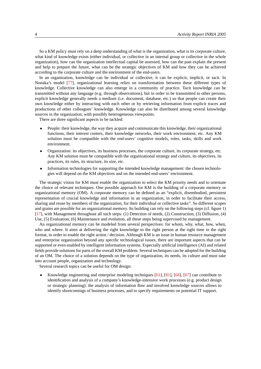So a KM policy must rely on a deep understanding of what is the organization, what is its corporate culture, what kind of knowledge exists (either individual, or collective in an internal group or collective in the whole organization), how can the organization intellectual capital be assessed, how can the past explain the present and help to prepare the future, what can be the strategic objectives of KM and how they can be achieved according to the corporate culture and the environment of the end-users.

In an organization, knowledge can be individual or collective, it can be explicit, implicit, or tacit. In Nonaka's model [\[77\]](#page-40-0), organizational learning relies on transformation between these different types of knowledge. Collective knowledge can also emerge in a community of practice. Tacit knowledge can be transmitted without any language (e.g. through observations), but in order to be transmitted to other persons, explicit knowledge generally needs a medium (i.e. document, database, etc.) so that people can create their own knowledge either by interacting with each other or by retrieving information from explicit traces and productions of other colleagues' knowledge. Knowledge can also be distributed among several knowledge sources in the organization, with possibly heterogeneous viewpoints.

There are three significant aspects to be tackled:

- People: their knowledge, the way they acquire and communicate this knowledge, their organizational functions, their interest centers, their knowledge networks, their work environment, etc. Any KM solution must be compatible with the end-users' cognitive models, roles, tasks, skills and work environment.
- Organization: its objectives, its business processes, the corporate culture, its corporate strategy, etc. Any KM solution must be compatible with the organizational strategy and culture, its objectives, its practices, its rules, its structure, its size, etc.
- Information technologies for supporting the intended knowledge management: the chosen technologies will depend on the KM objectives and on the intended end-users' environment.

The strategic vision for KM must enable the organization to select the KM priority needs and to orientate the choice of relevant techniques. One possible approach for KM is the building of a corporate memory or organizational memory (OM). A corporate memory can be defined as an "explicit, disembodied, persistent representation of crucial knowledge and information in an organization, in order to facilitate their access, sharing and reuse by members of the organization, for their individual or collective tasks". So different scopes and grains are possible for an organizational memory. Its building can rely on the following steps (cf. figure 1) [\[17\]](#page-35-0), with Management throughout all such steps: (1) Detection of needs, (2) Construction, (3) Diffusion, (4) Use, (5) Evaluation, (6) Maintenance and evolution, all these steps being supervised by management.

An organizational memory can be modeled from several perspectives: for whom, why, what, how, when, who and where. It aims at delivering the right knowledge to the right person at the right time in the right format, in order to enable the right action / decision. Although KM is an issue in human resource management and enterprise organization beyond any specific technological issues, there are important aspects that can be supported or even enabled by intelligent information systems. Especially artificial intelligence (AI) and related fields provide solutions for parts of the overall KM problem. Several techniques can be adopted for the building of an OM. The choice of a solution depends on the type of organization, its needs, its culture and must take into account people, organization and technology.

Several research topics can be useful for OM design:

• Knowledge engineering and enterprise modeling techniques [\[61\]](#page-39-0), [\[81\]](#page-41-0), [\[68\]](#page-40-1), [\[67\]](#page-39-1) can contribute to identification and analysis of a company's knowledge-intensive work processes (e.g. product design or strategic planning): the analysis of information flow and involved knowledge sources allows to identify shortcomings of business processes, and to specify requirements on potential IT support.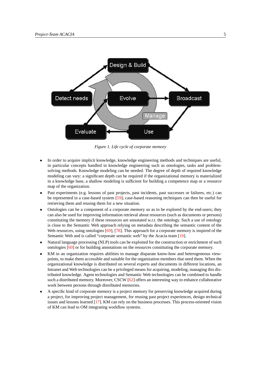

*Figure 1. Life cycle of corporate memory*

- In order to acquire implicit knowledge, knowledge engineering methods and techniques are useful, in particular concepts handled in knowledge engineering such as ontologies, tasks and problemsolving methods. Knowledge modeling can be needed. The degree of depth of required knowledge modeling can vary: a significant depth can be required if the organizational memory is materialized in a knowledge base, a shallow modeling is sufficient for building a competence map or a resource map of the organization.
- Past experiments (e.g. lessons of past projects, past incidents, past successes or failures, etc.) can be represented in a case-based system [\[59\]](#page-39-2); case-based reasoning techniques can then be useful for retrieving them and reusing them for a new situation.
- Ontologies can be a component of a corporate memory so as to be explored by the end-users; they can also be used for improving information retrieval about resources (such as documents or persons) constituting the memory if these resources are annotated w.r.t. the ontology. Such a use of ontology is close to the Semantic Web approach relying on metadata describing the semantic content of the Web resources, using ontologies [\[69\]](#page-40-2), [\[78\]](#page-40-3). This approach for a corporate memory is inspired of the Semantic Web and is called "corporate semantic web" by the Acacia team [\[19\]](#page-35-1).
- Natural language processing (NLP) tools can be exploited for the construction or enrichment of such ontologies [\[60\]](#page-39-3) or for building annotations on the resources constituting the corporate memory.
- KM in an organization requires abilities to manage disparate know-how and heterogeneous viewpoints, to make them accessible and suitable for the organization members that need them. When the organizational knowledge is distributed on several experts and documents in different locations, an Intranet and Web technologies can be a privileged means for acquiring, modeling, managing this distributed knowledge. Agent technologies and Semantic Web technologies can be combined to handle such a distributed memory. Moreover, CSCW [\[62\]](#page-39-4) offers an interesting way to enhance collaborative work between persons through distributed memories.
- A specific kind of corporate memory is a project memory for preserving knowledge acquired during a project, for improving project management, for reusing past project experiences, design technical issues and lessons learned [\[17\]](#page-35-0). KM can rely on the business processes. This process-oriented vision of KM can lead to OM integrating workflow systems.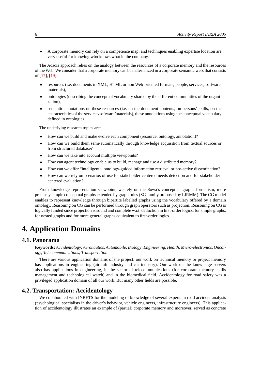• A corporate memory can rely on a competence map, and techniques enabling expertise location are very useful for knowing who knows what in the company.

The Acacia approach relies on the analogy between the resources of a corporate memory and the resources of the Web. We consider that a corporate memory can be materialized in a corporate semantic web, that consists of [\[17\]](#page-35-0), [\[19\]](#page-35-1):

- resources (i.e. documents in XML, HTML or non Web-oriented formats, people, services, software, materials),
- ontologies (describing the conceptual vocabulary shared by the different communities of the organization),
- semantic annotations on these resources (i.e. on the document contents, on persons' skills, on the characteristics of the services/software/materials), these annotations using the conceptual vocabulary defined in ontologies.

The underlying research topics are:

- How can we build and make evolve each component (resource, ontology, annotation)?
- How can we build them semi-automatically through knowledge acquisition from textual sources or from structured database?
- How can we take into account multiple viewpoints?
- How can agent technology enable us to build, manage and use a distributed memory?
- How can we offer "intelligent", ontology-guided information retrieval or pro-active dissemination?
- How can we rely on scenarios of use for stakeholder-centered needs detection and for stakeholdercentered evaluation?

From knowledge representation viewpoint, we rely on the Sowa's conceptual graphs formalism, more precisely simple conceptual graphs extended by graph rules (SG-family proposed by LIRMM). The CG model enables to represent knowledge through bipartite labelled graphs using the vocabulary offered by a domain ontology. Reasoning on CG can be performed through graph operators such as projection. Reasoning on CG is logically funded since projection is sound and complete w.r.t. deduction in first-order logics, for simple graphs, for nested graphs and for more general graphs equivalent to first-order logics.

## <span id="page-11-0"></span>**4. Application Domains**

## **4.1. Panorama**

<span id="page-11-1"></span>**Keywords:** *Accidentology*, *Aeronautics*, *Automobile*, *Biology*, *Engineering*, *Health*, *Micro-electronics*, *Oncology*, *Telecommunications*, *Transportation*.

There are various application domains of the project: our work on technical memory or project memory has applications in engineering (aircraft industry and car industry). Our work on the knowledge servers also has applications in engineering, in the sector of telecommunications (for corporate memory, skills management and technological watch) and in the biomedical field. Accidentology for road safety was a privileged application domain of all our work. But many other fields are possible.

## **4.2. Transportation: Accidentology**

<span id="page-11-2"></span>We collaborated with INRETS for the modeling of knowledge of several experts in road accident analysis (psychological specialists in the driver's behavior, vehicle engineers, infrastructure engineers). This application of accidentology illustrates an example of (partial) corporate memory and moreover, served as concrete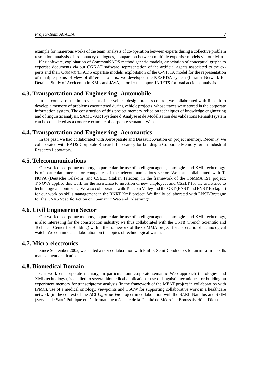example for numerous works of the team: analysis of co-operation between experts during a collective problem resolution, analysis of explanatory dialogues, comparison between multiple expertise models via our MUL-TIKAT software, exploitation of CommonKADS method generic models, association of conceptual graphs to expertise documents via our CGKAT software, representation of the artificial agents associated to the experts and their COMMONKADS expertise models, exploitation of the C-VISTA model for the representation of multiple points of view of different experts. We developed the RESEDA system (Intranet Network for Detailed Study of Accidents) in XML and JAVA, in order to support INRETS for road accident analysis.

## **4.3. Transportation and Engineering: Automobile**

<span id="page-12-0"></span>In the context of the improvement of the vehicle design process control, we collaborated with Renault to develop a memory of problems encountered during vehicle projects, whose traces were stored in the corporate information system. The construction of this project memory relied on techniques of knowledge engineering and of linguistic analysis. SAMOVAR (Système d'Analyse et de Modélisation des validations Renault) system can be considered as a concrete example of corporate semantic Web.

## **4.4. Transportation and Engineering: Aeronautics**

<span id="page-12-1"></span>In the past, we had collaborated with Aérospatiale and Dassault Aviation on project memory. Recently, we collaborated with EADS Corporate Research Laboratory for building a Corporate Memory for an Industrial Research Laboratory.

## **4.5. Telecommunications**

<span id="page-12-2"></span>Our work on corporate memory, in particular the use of intelligent agents, ontologies and XML technology, is of particular interest for companies of the telecommunications sector. We thus collaborated with T-NOVA (Deutsche Telekom) and CSELT (Italian Telecom) in the framework of the CoMMA IST project. T-NOVA applied this work for the assistance to insertion of new employees and CSELT for the assistance to technological monitoring. We also collaborated with Telecom Valley and the GET (ENST and ENST-Bretagne) for our work on skills management in the RNRT KmP project. We finally collaborated with ENST-Bretagne for the CNRS Specific Action on "Semantic Web and E-learning".

## **4.6. Civil Engineering Sector**

<span id="page-12-3"></span>Our work on corporate memory, in particular the use of intelligent agents, ontologies and XML technology, is also interesting for the construction industry: we thus collaborated with the CSTB (French Scientific and Technical Center for Building) within the framework of the CoMMA project for a scenario of technological watch. We continue a collaboration on the topics of technological watch.

## **4.7. Micro-electronics**

<span id="page-12-4"></span>Since September 2005, we started a new collaboration with Philips Semi-Conductors for an intra-firm skills management application.

### **4.8. Biomedical Domain**

<span id="page-12-5"></span>Our work on corporate memory, in particular our corporate semantic Web approach (ontologies and XML technology), is applied to several biomedical applications: use of linguistic techniques for building an experiment memory for transcriptome analysis (in the framework of the MEAT project in collaboration with IPMC), use of a medical ontology, viewpoints and CSCW for supporting collaborative work in a healthcare network (in the context of the ACI *Ligne de Vie* project in collaboration with the SARL Nautilus and SPIM (Service de Santé Publique et d'Informatique médicale de la Faculté de Médecine Broussais-Hôtel Dieu).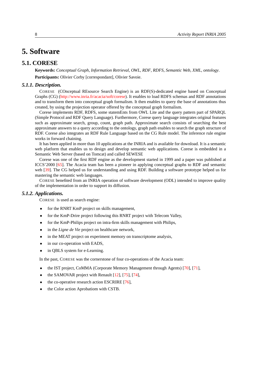## <span id="page-13-0"></span>**5. Software**

## **5.1. CORESE**

<span id="page-13-1"></span>**Keywords:** *Conceptual Graph*, *Information Retrieval*, *OWL*, *RDF*, *RDFS*, *Semantic Web*, *XML*, *ontology*. **Participants:** Olivier Corby [correspondant], Olivier Savoie.

## *5.1.1. Description.*

<span id="page-13-2"></span>CORESE (COnceptual REsource Search Engine) is an RDF(S)-dedicated engine based on Conceptual Graphs (CG) [\(http://www.inria.fr/acacia/soft/corese\)](http://www-sop.inria.fr/acacia/soft/corese). It enables to load RDFS schemas and RDF annotations and to transform them into conceptual graph formalism. It then enables to query the base of annotations thus created, by using the projection operator offered by the conceptual graph formalism.

Corese implements RDF, RDFS, some statemEnts from OWL Lite and the query pattern part of SPARQL (Simple Protocol and RDF Query Language). Furthermore, Corese query language integrates original features such as approximate search, group, count, graph path. Approximate search consists of searching the best approximate answers to a query according to the ontology, graph path enables to search the graph structure of RDF. Corese also integrates an RDF Rule Language based on the CG Rule model. The inference rule engine works in forward chaining.

It has been applied in more than 10 applications at the INRIA and is available for download. It is a semantic web platform that enables us to design and develop semantic web applications. Corese is embedded in a Semantic Web Server (based on Tomcat) and called SEWESE

Corese was one of the first RDF engine as the development started in 1999 and a paper was published at ICCS'2000 [\[65\]](#page-39-5). The Acacia team has been a pioneer in applying conceptual graphs to RDF and semantic web [\[39\]](#page-37-0). The CG helped us for understanding and using RDF. Building a software prototype helped us for mastering the semantic web languages.

CORESE benefited from an INRIA operation of software development (ODL) intended to improve quality of the implementation in order to support its diffusion.

#### *5.1.2. Applications.*

<span id="page-13-3"></span>CORESE is used as search engine:

- for the RNRT KmP project on skills management,
- for the KmP-Drire project following this RNRT project with Telecom Valley,
- for the KmP-Philips project on intra-firm skills management with Philips,
- in the *Ligne de Vie* project on healthcare network,
- in the MEAT project on experiment memory on transcriptome analysis,
- in our co-operation with EADS,
- in QBLS system for e-Learning.

In the past, CORESE was the cornerstone of four co-operations of the Acacia team:

- the IST project, CoMMA (Corporate Memory Management through Agents) [\[70\]](#page-40-4), [\[71\]](#page-40-5),
- the SAMOVAR project with Renault  $[12]$ ,  $[75]$ ,  $[74]$ ,
- the co-operative research action ESCRIRE [\[76\]](#page-40-8),
- the Color action Aprobatiom with CSTB.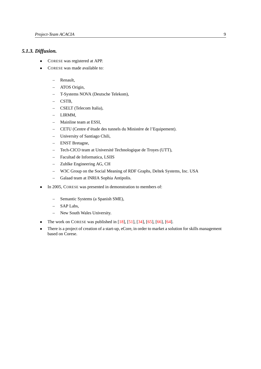## *5.1.3. Diffusion.*

- <span id="page-14-0"></span>• CORESE was registered at APP.
- CORESE was made available to:
	- Renault,
	- ATOS Origin,
	- T-Systems NOVA (Deutsche Telekom),
	- CSTB,
	- CSELT (Telecom Italia),
	- LIRMM,
	- Mainline team at ESSI,
	- CETU (Centre d'étude des tunnels du Ministère de l'Equipement).
	- University of Santiago Chili,
	- ENST Bretagne,
	- Tech-CICO team at Université Technologique de Troyes (UTT),
	- Facultad de Informatica, LSIIS
	- Zuhlke Engineering AG, CH
	- W3C Group on the Social Meaning of RDF Graphs, Deltek Systems, Inc. USA
	- Galaad team at INRIA Sophia Antipolis.
- In 2005, CORESE was presented in demonstration to members of:
	- Semantic Systems (a Spanish SME),
	- SAP Labs,
	- New South Wales University.
- The work on CORESE was published in  $[18]$ ,  $[51]$ ,  $[34]$ ,  $[65]$ ,  $[66]$ ,  $[64]$ .
- There is a project of creation of a start-up, eCore, in order to market a solution for skills management based on Corese.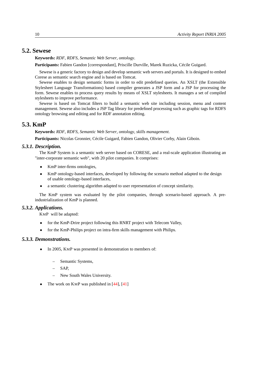## **5.2. Sewese**

<span id="page-15-0"></span>**Keywords:** *RDF*, *RDFS*, *Semantic Web Server*, *ontology*.

**Participants:** Fabien Gandon [correspondant], Priscille Durville, Marek Ruzicka, Cécile Guigard.

Sewese is a generic factory to design and develop semantic web servers and portals. It is designed to embed Corese as semantic search engine and is based on Tomcat.

Sewese enables to design semantic forms in order to edit predefined queries. An XSLT (the Extensible Stylesheet Language Transformations) based compiler generates a JSP form and a JSP for processing the form. Sewese enables to process query results by means of XSLT stylesheets. It manages a set of compiled stylesheets to improve performance.

Sewese is based on Tomcat filters to build a semantic web site including session, menu and content management. Sewese also includes a JSP Tag library for predefined processing such as graphic tags for RDFS ontology browsing and editing and for RDF annotation editing.

## **5.3. KmP**

<span id="page-15-1"></span>**Keywords:** *RDF*, *RDFS*, *Semantic Web Server*, *ontology*, *skills management*.

<span id="page-15-2"></span>**Participants:** Nicolas Gronnier, Cécile Guigard, Fabien Gandon, Olivier Corby, Alain Giboin.

#### *5.3.1. Description.*

The KmP System is a semantic web server based on CORESE, and a real-scale application illustrating an "inter-corporate semantic web", with 20 pilot companies. It comprises:

- KmP inter-firms ontologies,
- KmP ontology-based interfaces, developed by following the scenario method adapted to the design of usable ontology-based interfaces,
- a semantic clustering algorithm adapted to user representation of concept similarity.

The KmP system was evaluated by the pilot companies, through scenario-based approach. A preindustrialization of KmP is planned.

#### *5.3.2. Applications.*

<span id="page-15-3"></span>KMP will be adapted:

- for the KmP-Drire project following this RNRT project with Telecom Valley,
- <span id="page-15-4"></span>• for the KmP-Philips project on intra-firm skills management with Philips.

#### *5.3.3. Demonstrations.*

- In 2005, KMP was presented in demonstration to members of:
	- Semantic Systems,
	- $-$  SAP.
	- New South Wales University.
- The work on  $KMP$  was published in  $[44]$ ,  $[41]$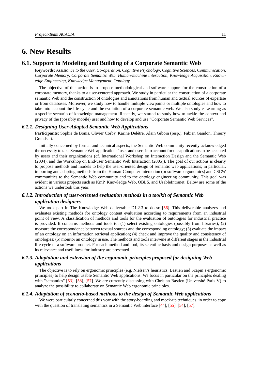## <span id="page-16-0"></span>**6. New Results**

## **6.1. Support to Modeling and Building of a Corporate Semantic Web**

<span id="page-16-1"></span>**Keywords:** *Assistance to the User*, *Co-operation*, *Cognitive Psychology*, *Cognitive Sciences*, *Communication*, *Corporate Memory*, *Corporate Semantic Web*, *Human-machine interaction*, *Knowledge Acquisition*, *Knowledge Engineering*, *Knowledge Management*, *Ontology*.

The objective of this action is to propose methodological and software support for the construction of a corporate memory, thanks to a user-centered approach. We study in particular the construction of a corporate semantic Web and the construction of ontologies and annotations from human and textual sources of expertise or from databases. Moreover, we study how to handle multiple viewpoints or multiple ontologies and how to take into account the life cycle and the evolution of a corporate semantic web. We also study e-Learning as a specific scenario of knowledge management. Recently, we started to study how to tackle the context and privacy of the (possibly mobile) user and how to develop and use "Corporate Semantic Web Services".

#### *6.1.1. Designing User-Adapted Semantic Web Applications*

<span id="page-16-2"></span>**Participants:** Sophie de Bonis, Olivier Corby, Karine Delêtre, Alain Giboin (resp.), Fabien Gandon, Thierry Grandsart.

Initially concerned by formal and technical aspects, the Semantic Web community recently acknowledged the necessity to take Semantic Web applications' uses and users into account for the applications to be accepted by users and their organizations (cf. International Workshop on Interaction Design and the Semantic Web (2004), and the Workshop on End-user Semantic Web Interaction (2005)). The goal of our actions is clearly to propose methods and models to help the user-oriented design of semantic web applications; in particular, importing and adapting methods from the Human-Computer Interaction (or software ergonomics) and CSCW communities to the Semantic Web community and to the ontology engineering community. This goal was evident in various projects such as KmP, Knowledge Web, QBLS, and UsableIntranet. Below are some of the actions we undertook this year:

## <span id="page-16-3"></span>*6.1.2. Introduction of user-oriented evaluation methods in a toolkit of Semantic Web application designers*

We took part in The Knowledge Web deliverable D1.2.3 to do so [\[56\]](#page-39-8). This deliverable analyzes and evaluates existing methods for ontology content evaluation according to requirements from an industrial point of view. A classification of methods and tools for the evaluation of ontologies for industrial practice is provided. It concerns methods and tools to: (1) select existing ontologies (possibly from libraries); (2) measure the correspondence between textual sources and the corresponding ontology; (3) evaluate the impact of an ontology on an information retrieval application; (4) check and improve the quality and consistency of ontologies; (5) monitor an ontology in use. The methods and tools intervene at different stages in the industrial life cycle of a software product. For each method and tool, its scientific basis and design purposes as well as its relevance and usefulness for industry are presented.

## <span id="page-16-4"></span>*6.1.3. Adaptation and extension of the ergonomic principles proposed for designing Web applications*

The objective is to rely on ergonomic principles (e.g. Nielsen's heuristics, Bastien and Scapin's ergonomic principles) to help design usable Semantic Web applications. We focus in particular on the principles dealing with "semantics" [\[53\]](#page-38-1), [\[58\]](#page-39-9), [\[57\]](#page-39-10). We are currently discussing with Chrisian Bastien (Université Paris V) to analyze the possibility to collaborate on Semantic Web ergonomic principles.

#### *6.1.4. Adaptation of scenario-based methods to the design of Semantic Web applications*

<span id="page-16-5"></span>We were particularly concerned this year with the story-boarding and mock-up techniques, in order to cope with the question of translating semantics in a Semantic Web interface [\[44\]](#page-37-2), [\[55\]](#page-38-2), [\[54\]](#page-38-3), [\[57\]](#page-39-10).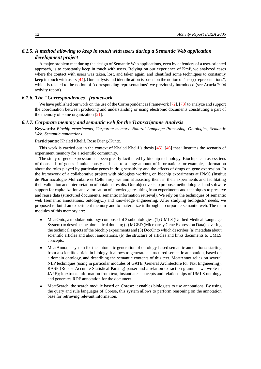## *6.1.5. A method allowing to keep in touch with users during a Semantic Web application development project*

<span id="page-17-0"></span>A major problem met during the design of Semantic Web applications, even by defenders of a user-oriented approach, is to constantly keep in touch with users. Relying on our experience of KmP, we analyzed cases where the contact with users was taken, lost, and taken again, and identified some techniques to constantly keep in touch with users [\[44\]](#page-37-2). Our analysis and identification is based on the notion of "use(r) representations", which is related to the notion of "corresponding representations" we previously introduced (see Acacia 2004 activity report).

#### *6.1.6. The "Correspondences" framework*

<span id="page-17-1"></span>We have published our work on the use of the Correspondences Framework [\[72\]](#page-40-9), [\[73\]](#page-40-10) to analyze and support the coordination between producing and understanding or using electronic documents constituting a part of the memory of some organization [\[21\]](#page-35-4).

#### *6.1.7. Corporate memory and semantic web for the Transcriptome Analysis*

<span id="page-17-2"></span>**Keywords:** *Biochip experiments*, *Corporate memory*, *Natural Language Processing*, *Ontologies*, *Semantic Web*, *Semantic annotations*.

**Participants:** Khaled Khelif, Rose Dieng-Kuntz.

This work is carried out in the context of Khaled Khelif's thesis [\[45\]](#page-38-4), [\[46\]](#page-38-5) that illustrates the scenario of experiment memory for a scientific community.

The study of gene expression has been greatly facilitated by biochip technology. Biochips can assess tens of thousands of genes simultaneously and lead to a huge amount of information: for example, information about the roles played by particular genes in drug sensitivity and the effects of drugs on gene expression. In the framework of a collaborative project with biologists working on biochip experiments at IPMC (Institut de Pharmacologie Mol culaire et Cellulaire), we aim at assisting them in their experiments and facilitating their validation and interpretation of obtained results. Our objective is to propose methodological and software support for capitalization and valorisation of knowledge resulting from experiments and techniques to preserve and reuse data (structured documents, semantic information retrieval). We rely on the techniques of semantic web (semantic annotations, ontology...) and knowledge engineering. After studying biologists' needs, we proposed to build an experiment memory and to materialize it through a corporate semantic web. The main modules of this memory are:

- MeatOnto, a modular ontology composed of 3 subontologies: (1) UMLS (Unified Medical Language System) to describe the biomedical domain; (2) MGED (Microarray Gene Expression Data) covering the technical aspects of the biochip experiments and (3) DocOnto which describes (a) metadata about scientific articles and about annotations, (b) the structure of articles and links documents to UMLS concepts.
- MeatAnnot, a system for the automatic generation of ontology-based semantic annotations: starting from a scientific article in biology, it allows to generate a structured semantic annotation, based on a domain ontology, and describing the semantic contents of this text. MeatAnnot relies on several NLP techniques (using in particular modules of GATE (General Architecture for Text Engineering), RASP (Robust Accurate Statistical Parsing) parser and a relation extraction grammar we wrote in JAPE); it extracts information from text, instantiates concepts and relationships of UMLS ontology and generates RDF annotation for the document.
- MeatSearch, the search module based on Corese: it enables biologists to use annotations. By using the query and rule languages of Corese, this system allows to perform reasoning on the annotation base for retrieving relevant information.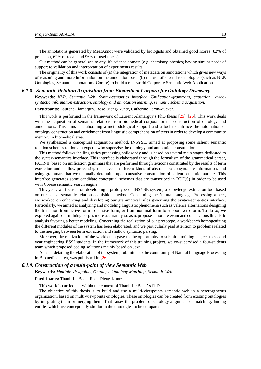The annotations generated by MeatAnnot were validated by biologists and obtained good scores (82% of precision, 62% of recall and 96% of usefulness).

Our method can be generalized to any life science domain (e.g. chemistry, physics) having similar needs of support to validation and interpretation of experiments results.

The originality of this work consists of (a) the integration of metadata on annotations which gives new ways of reasoning and more information on the annotation base, (b) the use of several technologies (such as NLP, Ontologies, Semantic annotations, Corese) to build a real-world Corporate Semantic Web Application.

#### *6.1.8. Semantic Relation Acquisition from Biomedical Corpora for Ontology Discovery*

<span id="page-18-0"></span>**Keywords:** *NLP*, *Semantic Web*, *Syntax-semantics interface*, *Unification-grammars*, *causation*, *lexicosyntactic information extraction*, *ontology and annotation learning*, *semantic schema acquisition*.

**Participants:** Laurent Alamarguy, Rose Dieng-Kuntz, Catherine Faron-Zucker.

This work is performed in the framework of Laurent Alamarguy's PhD thesis [\[25\]](#page-36-0), [\[26\]](#page-36-1). This work deals with the acquisition of semantic relations from biomedical corpora for the construction of ontology and annotations. This aims at elaborating a methodological support and a tool to enhance the automation of ontology construction and enrichment from linguistic comprehension of texts in order to develop a community memory in biomedical area.

We synthesized a conceptual acquisition method, INSYSE, aimed at proposing some salient semantic relation schemas to domain experts who supervise the ontology and annotation construction.

This method follows the linguistics processing philosophy and is based on several main stages dedicated to the syntax-semantics interface. This interface is elaborated through the formalism of the grammatical parser, PATR-II, based on unification grammars that are performed through lexicons constituted by the results of term extraction and shallow processing that reveals different kinds of abstract lexico-syntactic information, and using grammars that we manually determine upon causative construction of salient semantic markers. This interface generates some candidate conceptual schemas that are transcribed in RDF(S) in order to be used with Corese semantic search engine.

This year, we focused on developing a prototype of INSYSE system, a knowledge extraction tool based on our causal semantic relation acquisition method. Concerning the Natural Language Processing aspect, we worked on enhancing and developing our grammatical rules governing the syntax-semantics interface. Particularly, we aimed at analyzing and modeling linguistic phenomena such as valence alternations designing the transition from active form to passive form, or from nominal form to support-verb form. To do so, we explored again our training corpus more accurately, so as to propose a more relevant and conspicuous linguistic analysis favoring a better modeling. Concerning the realization of our prototype, a workbench homogenizing the different modules of the system has been elaborated, and we particularly paid attention to problems related to the merging between term extraction and shallow syntactic parsing.

Moreover, the realization of the workbench gave us the opportunity to submit a training subject to second year engineering ESSI students. In the framework of this training project, we co-supervised a four-students team which proposed coding solutions mainly based on Java.

A paper detailing the elaboration of the system, submitted to the community of Natural Language Processing in Biomedical area, was published in [\[26\]](#page-36-1).

#### *6.1.9. Construction of a multi-point of view Semantic Web*

<span id="page-18-1"></span>**Keywords:** *Multiple Viewpoints*, *Ontology*, *Ontology Matching*, *Semantic Web*.

**Participants:** Thanh-Le Bach, Rose Dieng-Kuntz.

This work is carried out within the context of Thanh-Le Bach' s PhD.

The objective of this thesis is to build and use a multi-viewpoints semantic web in a heterogeneous organization, based on multi-viewpoints ontologies. These ontologies can be created from existing ontologies by integrating them or merging them. That raises the problem of ontology alignment or matching: finding entities which are conceptually similar in the ontologies to be compared.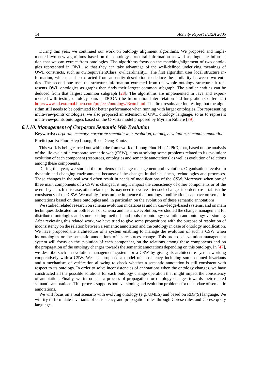During this year, we continued our work on ontology alignment algorithms. We proposed and implemented two new algorithms based on the ontology structural information as well as linguistic information that we can extract from ontologies. The algorithms focus on the matching/alignment of two ontologies represented in OWL, so that they can take advantage of the well-defined underlying meanings of OWL constructs, such as owl:equivalentClass, owl:cardinality... The first algorithm uses local structure information, which can be extracted from an entity description to deduce the similarity between two entities. The second one uses the structure information extracted from the whole ontology structure: it represents OWL ontologies as graphs then finds their largest common subgraph. The similar entities can be deduced from that largest common subgraph [\[28\]](#page-36-2). The algorithms are implemented in Java and experimented with testing ontology pairs at I3CON (the Information Interpretation and Integration Conference) [http://www.atl.external.lmco.com/projects/ontology/i3con.html.](http://www.atl.external.lmco.com/projects/ontology/i3con.html) The first results are interesting, but the algorithm still needs to be optimized for better performance when running with larger ontologies. For representing multi-viewpoints ontologies, we also proposed an extension of OWL ontology language, so as to represent multi-viewpoints ontologies based on the C-Vista model proposed by Myriam Ribière [\[79\]](#page-40-11).

#### *6.1.10. Management of Corporate Semantic Web Evolution*

<span id="page-19-0"></span>**Keywords:** *corporate memory*, *corporate semantic web*, *evolution*, *ontology evolution*, *semantic annotation*.

**Participants:** Phuc-Hiep Luong, Rose Dieng-Kuntz.

This work is being carried out within the framework of Luong Phuc Hiep's PhD, that, based on the analysis of the life cycle of a corporate semantic web (CSW), aims at solving some problems related to its evolution: evolution of each component (resources, ontologies and semantic annotations) as well as evolution of relations among these components.

During this year, we studied the problems of change management and evolution. Organisations evolve in dynamic and changing environments because of the changes in their business, technologies and processes. These changes in the real world often result in needs of modifications of the CSW. Moreover, when one of three main components of a CSW is changed, it might impact the consistency of other components or of the overall system. In this case, other related parts may need to evolve after such changes in order to re-establish the consistency of the CSW. We mainly focus on the influence that ontology modifications can have on semantic annotations based on these ontologies and, in particular, on the evolution of these semantic annotations.

We studied related research on schema evolution in databases and in knowledge-based systems, and on main techniques dedicated for both levels of schema and instance evolution, we studied the change management for distributed ontologies and some existing methods and tools for ontology evolution and ontology versioning. After reviewing this related work, we have tried to give some propositions with the purpose of resolution of inconsistency on the relation between a semantic annotation and the ontology in case of ontology modification. We have proposed the architecture of a system enabling to manage the evolution of such a CSW when its ontologies or the semantic annotations of its resources change. This proposed evolution management system will focus on the evolution of each component, on the relations among these components and on the propagation of the ontology changes towards the semantic annotations depending on this ontology. In [\[47\]](#page-38-6), we describe such an evolution management system for a CSW by giving its architecture system working cooperatively with a CSW. We also proposed a model of consistency including some defined invariants and a mechanism of verification allowing to check whether a semantic annotation is still consistent with respect to its ontology. In order to solve inconsistencies of annotations when the ontology changes, we have constructed all the possible solutions for each ontology change operation that might impact the consistency of annotation. Finally, we introduced a process of propagation for ontology changes towards their related semantic annotations. This process supports both versioning and evolution problems for the update of semantic annotations.

We will focus on a real scenario with evolving ontology (e.g. UMLS) and based on RDF(S) language. We will try to formulate invariants of consistency and propagation rules through Corese rules and Corese query language.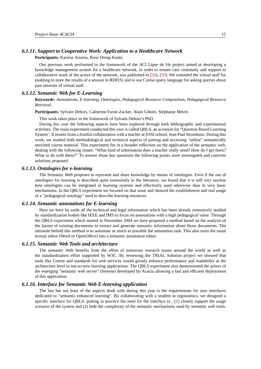## *6.1.11. Support to Cooperative Work: Application to a Healthcare Network*

<span id="page-20-0"></span>**Participants:** Karima Aissiou, Rose Dieng-Kuntz.

Our previous work performed in the framework of the ACI *Ligne de Vie* project aimed at developing a knowledge management system for a healthcare network, in order to ensure care continuity and support to collaborative work of the actors of the network, was published in [\[20\]](#page-35-5), [\[50\]](#page-38-7). We extended the virtual staff for enabling to store the results of a session in RDF(S) and to use Corese query language for asking queries about past sessions of virtual staff.

#### *6.1.12. Semantic Web for E-Learning*

<span id="page-20-1"></span>**Keywords:** *Annotations*, *E-learning*, *Ontologies*, *Pedagogical Resource Composition*, *Pedagogical Resource Retrieval*.

**Participants:** Sylvain Dehors, Catherine Faron-Zucker, Alain Giboin, Stéphanie Mevel.

This work takes place in the framework of Sylvain Dehors's PhD.

During this year the following aspects have been explored through both bibliographic and experimental activities. The main experiment conducted this year is called QBLS, an acronym for "Question Based Learning System". It results from a fruitful collaboration with a teacher at ESSI school, Jean Paul Stromboni. During this work, we studied both methodological and technical aspects of putting and accessing "online" semantically enriched course material. This experiment fits in a broader reflection on the application of the semantic web, dealing with the following issues: "What kind of information does a teacher really need? How do I get them? What to do with them?" To answer those key questions the following points were investigated and concrete solutions proposed.

#### *6.1.13. Ontologies for e-learning*

<span id="page-20-2"></span>The Semantic Web proposes to represent and share knowledge by means of ontologies. Even if the use of ontologies for learning is described quite extensively in the literature, we found that it is still very unclear how ontologies can be integrated in learning systems and effectively used otherwise than in very basic mechanisms. In the QBLS experiment we focused on that issue and showed the establishment and real usage of a "pedagogical ontology" used to describe learning resources.

#### *6.1.14. Semantic annotations for E-learning*

<span id="page-20-3"></span>Here we have let aside all the technical and legal information which has been already extensively studied by standardization bodies like IEEE and IMS to focus on annotations with a high pedagogical value. Through the QBLS experiment which started in November 2004 we have proposed a method based on the analysis of the layout of existing documents to extract and generate semantic information about those documents. The rationale behind this method is to automate as much as possible the annotation task. This also turns the usual textual editor (Word or OpenOffice) into a semantic annotation editor.

#### *6.1.15. Semantic Web Tools and architecture*

<span id="page-20-4"></span>The semantic Web benefits from the effort of numerous research teams around the world as well as the standardization effort supported by W3C. By reviewing the TRIAL Solution project we showed that tools like Corese and standards for web services would greatly enhance performance and readability at the architecture level in not-so-new learning applications. The QBLS experiment also demonstrated the power of the emerging "semantic web server" (Sewese) developed by Acacia allowing a fast and efficient deployment of this application.

#### *6.1.16. Interface for Semantic Web E-learning application*

<span id="page-20-5"></span>The last but not least of the aspects dealt with during this year is the requirements for user interfaces dedicated to "semantic enhanced learning". By collaborating with a student in ergonomics, we designed a specific interface for QBLS, putting in practice the need for the interface to : (1) closely support the usage scenario of the system and (2) hide the complexity of the semantic mechanisms used by semantic web tools.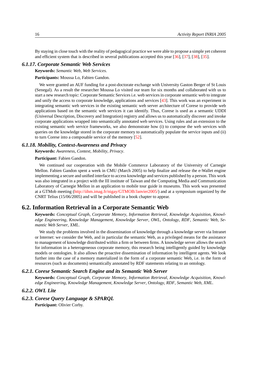By staying in close touch with the reality of pedagogical practice we were able to propose a simple yet coherent and efficient system that is described in several publications accepted this year [\[36\]](#page-37-4), [\[37\]](#page-37-5), [\[38\]](#page-37-6), [\[35\]](#page-37-7).

#### *6.1.17. Corporate Semantic Web Services*

<span id="page-21-0"></span>**Keywords:** *Semantic Web*, *Web Services*.

**Participants:** Moussa Lo, Fabien Gandon.

We were granted an AUF funding for a post-doctorate exchange with University Gaston Berger of St Louis (Senegal). As a result the researcher Moussa Lo visited our team for six months and collaborated with us to start a new research topic: Corporate Semantic Services i.e. web services in corporate semantic web to integrate and unify the access to corporate knowledge, applications and services [\[43\]](#page-37-8). This work was an experiment in integrating semantic web services in the existing semantic web server architecture of Corese to provide web applications based on the semantic web services it can identify. Thus, Corese is used as a semantic UDDI (Universal Description, Discovery and Integration) registry and allows us to automatically discover and invoke corporate applications wrapped into semantically annotated web services. Using rules and an extension to the existing semantic web service frameworks, we also demonstrate how (i) to compose the web services with queries on the knowledge stored in the corporate memory to automatically populate the service inputs and (ii) to turn Corese into a composable service of the memory [\[52\]](#page-38-8).

#### *6.1.18. Mobility, Context-Awareness and Privacy*

<span id="page-21-1"></span>**Keywords:** *Awareness*, *Context*, *Mobility*, *Privacy*.

#### **Participant:** Fabien Gandon.

We continued our cooperation with the Mobile Commerce Laboratory of the University of Carnegie Mellon. Fabien Gandon spent a week in CMU (March 2005) to help finalize and release the e-Wallet engine implementing a secure and unified interface to access knowledge and services published by a person. This work was also integrated in a project with the III institute of Taiwan and the Computing Media and Communication Laboratory of Carnegie Mellon in an application to mobile tour guide in museums. This work was presented at a GTMob meeting [\(http://iihm.imag.fr/nigay/GTMOB/Janvier2005/\)](http://iihm.imag.fr/nigay/GTMOB/Janvier2005/) and at a symposium organized by the CNRT Telius (15/06/2005) and will be published in a book chapter to appear.

### **6.2. Information Retrieval in a Corporate Semantic Web**

<span id="page-21-2"></span>**Keywords:** *Conceptual Graph*, *Corporate Memory*, *Information Retrieval*, *Knowledge Acquisition*, *Knowledge Engineering*, *Knowledge Management*, *Knowledge Server*, *OWL*, *Ontology*, *RDF*, *Semantic Web*, *Semantic Web Server*, *XML*.

We study the problems involved in the dissemination of knowledge through a knowledge server via Intranet or Internet: we consider the Web, and in particular the semantic Web, as a privileged means for the assistance to management of knowledge distributed within a firm or between firms. A knowledge server allows the search for information in a heterogeneous corporate memory, this research being intelligently guided by knowledge models or ontologies. It also allows the proactive dissemination of information by intelligent agents. We look further into the case of a memory materialized in the form of a corporate semantic Web, i.e. in the form of resources (such as documents) semantically annotated by RDF statements relating to an ontology.

#### *6.2.1. Corese Semantic Search Engine and its Semantic Web Server*

<span id="page-21-4"></span><span id="page-21-3"></span>**Keywords:** *Conceptual Graph*, *Corporate Memory*, *Information Retrieval*, *Knowledge Acquisition*, *Knowledge Engineering*, *Knowledge Management*, *Knowledge Server*, *Ontology*, *RDF*, *Semantic Web*, *XML*.

#### *6.2.2. OWL Lite*

#### *6.2.3. Corese Query Language & SPARQL*

<span id="page-21-5"></span>**Participant:** Olivier Corby.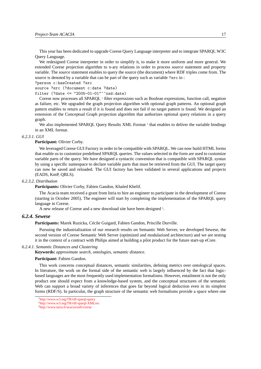This year has been dedicated to upgrade Corese Query Language interpreter and to integrate SPARQL W3C Query Language.

We redesigned Corese interpreter in order to simplify it, to make it more uniform and more general. We extended Corese projection algorithm to n-ary relations in order to process *source* statement and property variable. The *source* statement enables to query the source (the document) where RDF triples come from. The source is denoted by a variable that can be part of the query such as variable ?src in :

?person c:hasCreated ?src

source ?src (?document c:date ?date)

filter (?date  $\le$  "2005-01-01"^^xsd:date)

Corese now processes all SPARQL<sup>1</sup> filter expressions such as Boolean expressions, function call, negation as failure, etc. We upgraded the graph projection algorithm with optional graph patterns. An optional graph pattern enables to return a result if it is found and does not fail if no target pattern is found. We designed an extension of the Conceptual Graph projection algorithm that authorizes optional query relations in a query graph.

We also implemented SPARQL Query Results XML Format<sup>2</sup> that enables to deliver the variable bindings in an XML format.

#### *6.2.3.1. GUI*

#### <span id="page-22-0"></span>**Participant:** Olivier Corby.

We leveraged Corese GUI Factory in order to be compatible with SPARQL. We can now build HTML forms that enable us to customize predefined SPARQL queries. The values selected in the form are used to customize variable parts of the query. We have designed a syntactic convention that is compatible with SPARQL syntax by using a specific namespace to declare variable parts that must be retrieved from the GUI. The target query can now be saved and reloaded. The GUI factory has been validated in several applications and projects (EADS, KmP, QBLS).

#### *6.2.3.2. Distribution*

<span id="page-22-1"></span>**Participants:** Olivier Corby, Fabien Gandon, Khaled Khelif.

The Acacia team received a grant from Inria to hire an engineer to participate in the development of Corese (starting in October 2005). The engineer will start by completing the implementation of the SPARQL query language in Corese.

<span id="page-22-2"></span>A new release of Corese and a new download site have been designed<sup>3</sup>.

#### *6.2.4. Sewese*

**Participants:** Marek Ruzicka, Cécile Guigard, Fabien Gandon, Priscille Durville.

Pursuing the industrialization of our research results on Semantic Web Server, we developed Sewese, the second version of Corese Semantic Web Server (optimized and modularized architecture) and we are testing it in the context of a contract with Philips aimed at building a pilot product for the future start-up eCore.

#### *6.2.4.1. Semantic Distances and Clustering*

<span id="page-22-3"></span>**Keywords:** *approximate search*, *ontologies*, *semantic distance*.

#### **Participant:** Fabien Gandon.

This work concerns conceptual distances, semantic similarities, defining metrics over ontological spaces. In literature, the work on the formal side of the semantic web is largely influenced by the fact that logicbased languages are the most frequently used implementation formalisms. However, entailment is not the only product one should expect from a knowledge-based system, and the conceptual structures of the semantic Web can support a broad variety of inferences that goes far beyond logical deduction even in its simplest forms (RDF/S). In particular, the graph structure of the semantic web formalisms provide a space where one

<sup>1</sup> <http://www.w3.org/TR/rdf-sparql-query>

<sup>2</sup> <http://www.w3.org/TR/rdf-sparql-XMLres>

<sup>3</sup> <http://www.inria.fr/acacia/soft/corese>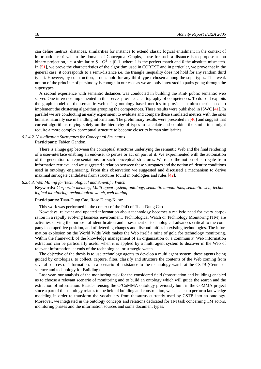can define metrics, distances, similarities for instance to extend classic logical entailment in the context of information retrieval. In the domain of Conceptual Graphs, a use for such a distance is to propose a non binary projection, i.e. a similarity  $S: C^2 \to [0, 1]$  where 1 is the perfect match and 0 the absolute mismatch. In [\[51\]](#page-38-0), we prove the characteristics of the algorithm used in CORESE and in particular, we prove that in the general case, it corresponds to a semi-distance i.e. the triangle inequality does not hold for any random third type t. However, by construction, it does hold for any third type t chosen among the supertypes. This weak notion of the principle of parsimony is enough in our case as we are only interested in paths going through the supertypes.

A second experience with semantic distances was conducted in building the KmP public semantic web server. One inference implemented in this server provides a cartography of competences. To do so it exploits the graph model of the semantic web using ontology-based metrics to provide an ultra-metric used to implement the clustering algorithm grouping the competences. These results were published in ISWC [\[41\]](#page-37-3). In parallel we are conducting an early experiment to evaluate and compare these simulated metrics with the ones humans naturally use in handling information. The preliminary results were presented in [\[40\]](#page-37-9) and suggest that current algorithms relying solely on the hierarchy of types to calculate and combine the similarities might require a more complex conceptual structure to become closer to human similarities.

#### *6.2.4.2. Visualization Surrogates for Conceptual Structures*

<span id="page-23-0"></span>**Participant:** Fabien Gandon.

There is a huge gap between the conceptual structures underlying the semantic Web and the final rendering of a user-interface enabling an end-user to peruse or act on part of it. We experimented with the automation of the generation of representations for such conceptual structures. We reuse the notion of surrogate from information retrieval and we suggested a relation between these surrogates and the notion of identity conditions used in ontology engineering. From this observation we suggested and discussed a mechanism to derive maximal surrogate candidates from structures found in ontologies and rules [\[42\]](#page-37-10).

#### *6.2.4.3. Web Mining for Technological and Scientific Watch*

<span id="page-23-1"></span>**Keywords:** *Corporate memory*, *Multi agent system*, *ontology*, *semantic annotations*, *semantic web*, *technological monitoring*, *technological watch*, *web mining*.

#### **Participants:** Tuan-Dung Cao, Rose Dieng-Kuntz.

This work was performed in the context of the PhD of Tuan-Dung Cao.

Nowadays, relevant and updated information about technology becomes a realistic need for every corporation in a rapidly evolving business environment. Technological Watch or Technology Monitoring (TM) are activities serving the purpose of identification and assessment of technological advances critical to the company's competitive position, and of detecting changes and discontinuities in existing technologies. The information explosion on the World Wide Web makes the Web itself a mine of gold for technology monitoring. Within the framework of the knowledge management of an organization or a community, Web information extraction can be particularly useful when it is applied by a multi agent system to discover in the Web of relevant information, at ends of the technological or strategic watch.

The objective of the thesis is to use technology agents to develop a multi agent system, these agents being guided by ontologies, to collect, capture, filter, classify and structure the contents of the Web coming from several sources of information, in a scenario of assistance to the technology watch at the CSTB (Center of science and technology for Building).

Last year, our analysis of the monitoring task for the considered field (construction and building) enabled us to choose a relevant scenario of monitoring and to build an ontology which will guide the search and the extraction of information. Besides reusing the O'CoMMA ontology previously built in the CoMMA project since a part of this ontology relates to the field of building and construction, we had also to perform knowledge modeling in order to transform the vocabulary from thesaurus currently used by CSTB into an ontology. Moreover, we integrated in the ontology concepts and relations dedicated for TM task concerning TM actors, monitoring phases and the information sources and some document types.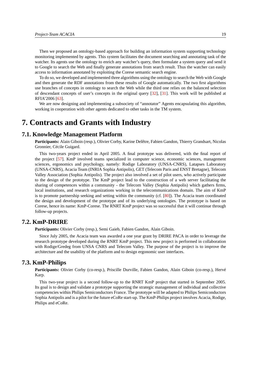Then we proposed an ontology-based approach for building an information system supporting technology monitoring implemented by agents. This system facilitates the document searching and annotating task of the watcher. Its agents use the ontology to enrich any watcher's query, then formulate a system query and send it to Google to search the Web and finally generate annotations from search result. Thus the watcher can easily access to information annotated by exploiting the Corese semantic search engine.

To do so, we developed and implemented three algorithms using the ontology to search the Web with Google and then generate the RDF annotations from these results of Google automatically. The two first algorithms use branches of concepts in ontology to search the Web while the third one relies on the balanced selection of descendant concepts of user's concepts in the original query [\[32\]](#page-36-3), [\[31\]](#page-36-4). This work will be published at RFIA'2006 [\[63\]](#page-39-11).

We are now designing and implementing a subsociety of "annotator" Agents encapsulating this algorithm, working in cooperation with other agents dedicated to other tasks in the TM system.

## <span id="page-24-0"></span>**7. Contracts and Grants with Industry**

## **7.1. Knowledge Management Platform**

<span id="page-24-1"></span>**Participants:** Alain Giboin (resp.), Olivier Corby, Karine Delêtre, Fabien Gandon, Thierry Grandsart, Nicolas Gronnier, Cécile Guigard.

This two-years project ended in April 2005. A final prototype was delivered, with the final report of the project [\[57\]](#page-39-10). KmP involved teams specialized in computer science, economic sciences, management sciences, ergonomics and psychology, namely: Rodige Laboratory (UNSA-CNRS), Latapses Laboratory (UNSA-CNRS), Acacia Team (INRIA Sophia Antipolis), GET (Telecom Paris and ENST Bretagne), Telecom Valley Association (Sophia Antipolis). The project also involved a set of pilot users, who actively participate to the design of the prototype. The KmP project lead to the construction of a web server facilitating the sharing of competences within a community - the Telecom Valley (Sophia Antipolis) which gathers firms, local institutions, and research organizations working in the telecommunications domain. The aim of KmP is to promote partnership seeking and setting within the community (cf. [\[80\]](#page-40-12)). The Acacia team coordinated the design and development of the prototype and of its underlying ontologies. The prototype is based on Corese, hence its name: KmP-Corese. The RNRT KmP project was so successful that it will continue through follow-up projects.

## **7.2. KmP-DRIRE**

<span id="page-24-2"></span>**Participants:** Olivier Corby (resp.), Semi Gaieb, Fabien Gandon, Alain Giboin.

Since July 2005, the Acacia team was awarded a one year grant by DRIRE PACA in order to leverage the research prototype developed during the RNRT KmP project. This new project is performed in collaboration with Rodige/Gredeg from UNSA CNRS and Telecom Valley. The purpose of the project is to improve the architecture and the usability of the platform and to design ergonomic user interfaces.

## **7.3. KmP-Philips**

<span id="page-24-3"></span>**Participants:** Olivier Corby (co-resp.), Priscille Durville, Fabien Gandon, Alain Giboin (co-resp.), Hervé Karp.

This two-year project is a second follow-up to the RNRT KmP project that started in September 2005. Its goal is to design and validate a prototype supporting the strategic management of individual and collective competencies within Philips Semiconductors France. The prototype will be adapted to Philips Semiconductors Sophia Antipolis and is a pilot for the future eCoRe start-up. The KmP-Philips project involves Acacia, Rodige, Philips and eCoRe.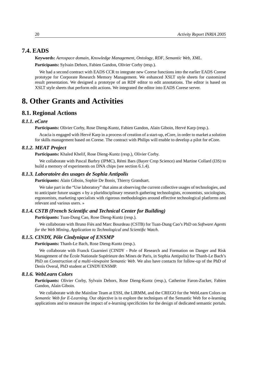## **7.4. EADS**

<span id="page-25-0"></span>**Keywords:** *Aerospace domain*, *Knowledge Management*, *Ontology*, *RDF*, *Semantic Web*, *XML*.

**Participants:** Sylvain Dehors, Fabien Gandon, Olivier Corby (resp.).

We had a second contract with EADS CCR to integrate new Corese functions into the earlier EADS Corese prototype for Corporate Research Memory Management. We enhanced XSLT style sheets for customized result presentation. We designed a prototype of an RDF editor to edit annotations. The editor is based on XSLT style sheets that perform edit actions. We integrated the editor into EADS Corese server.

## <span id="page-25-1"></span>**8. Other Grants and Activities**

## <span id="page-25-2"></span>**8.1. Regional Actions**

#### *8.1.1. eCore*

<span id="page-25-3"></span>**Participants:** Olivier Corby, Rose Dieng-Kuntz, Fabien Gandon, Alain Giboin, Hervé Karp (resp.).

Acacia is engaged with Hervé Karp in a process of creation of a start-up, eCore, in order to market a solution for skills management based on Corese. The contract with Philips will enable to develop a pilot for eCore.

#### *8.1.2. MEAT Project*

<span id="page-25-4"></span>**Participants:** Khaled Khelif, Rose Dieng-Kuntz (resp.), Olivier Corby.

We collaborate with Pascal Barbry (IPMC), Rémi Bars (Bayer Crop Science) and Martine Collard (I3S) to build a memory of experiments on DNA chips (see section 6.1.4).

#### *8.1.3. Laboratoire des usages de Sophia Antipolis*

<span id="page-25-5"></span>**Participants:** Alain Giboin, Sophie De Bonis, Thierry Grandsart.

We take part in the "Use laboratory" that aims at observing the current collective usages of technologies, and to anticipate future usages « by a pluridisciplinary research gathering technologists, economists, sociologists, ergonomists, marketing specialists with rigorous methodologies around effective technological platforms and relevant and various users. »

### *8.1.4. CSTB (French Scientific and Technical Center for Building)*

<span id="page-25-6"></span>**Participants:** Tuan-Dung Cao, Rose Dieng-Kuntz (resp.).

We collaborate with Bruno Fiès and Marc Bourdeau (CSTB) for Tuan-Dung Cao's PhD on *Software Agents for the Web Mining, Application to Technological and Scientific Watch*.

### *8.1.5. CINDY, Pôle Cindynique of ENSMP*

<span id="page-25-7"></span>**Participants:** Thanh-Le Bach, Rose Dieng-Kuntz (resp.).

We collaborate with Franck Guarnieri (CINDY - Pole of Research and Formation on Danger and Risk Management of the École Nationale Supérieure des Mines de Paris, in Sophia Antipolis) for Thanh-Le Bach's PhD on *Construction of a multi-viewpoint Semantic Web*. We also have contacts for follow-up of the PhD of Denis Overal, PhD student at CINDY/ENSMP.

#### *8.1.6. WebLearn Colors*

<span id="page-25-8"></span>**Participants:** Olivier Corby, Sylvain Dehors, Rose Dieng-Kuntz (resp.), Catherine Faron-Zucker, Fabien Gandon, Alain Giboin.

We collaborate with the Mainline Team at ESSI, the LIRMM, and the CREGO for the WebLearn Colors on *Semantic Web for E-Learning*. Our objective is to explore the techniques of the Semantic Web for e-learning applications and to measure the impact of e-learning specificities for the design of dedicated semantic portals.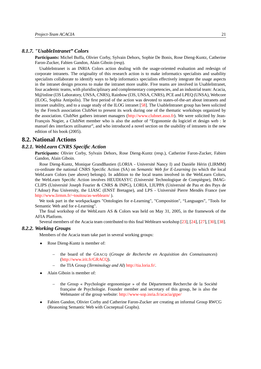#### *8.1.7. "UsableIntranet" Colors*

<span id="page-26-0"></span>**Participants:** Michel Buffa, Olivier Corby, Sylvain Dehors, Sophie De Bonis, Rose Dieng-Kuntz, Catherine Faron-Zucker, Fabien Gandon, Alain Giboin (resp).

UsableIntranet is an INRIA Colors action dealing with the usage-oriented evaluation and redesign of corporate intranets. The originality of this research action is to make informatics specialists and usability specialists collaborate to identify ways to help informatics specialists effectively integrate the usage aspects in the intranet design process to make the intranet more usable. Five teams are involved in UsableIntranet, four academic teams, with pluridisciplinary and complementary competencies, and an industrial team: Acacia, M@inline (I3S Laboratory, UNSA, CNRS), Rainbow (I3S, UNSA, CNRS), PCE and LPEQ (UNSA), Webcore (ILOG, Sophia Antipolis). The first period of the action was devoted to states-of-the-art about intranets and intranet usability, and to a usage study of the ILOG intranet [\[58\]](#page-39-9). The UsableIntranet group has been solicited by the French association ClubNet to present its work during one of the thematic workshops organized by the association. ClubNet gathers intranet managers [\(http://www.clubnet.asso.fr\)](http://www.clubnet.asso.fr). We were solicited by Jean-François Nogier, a ClubNet member who is also the author of "Ergonomie du logiciel et design web : le manuel des interfaces utilisateur", and who introduced a novel section on the usability of intranets in the new edition of his book (2005).

## <span id="page-26-1"></span>**8.2. National Actions**

#### *8.2.1. WebLearn CNRS Specific Action*

<span id="page-26-2"></span>**Participants:** Olivier Corby, Sylvain Dehors, Rose Dieng-Kuntz (resp.), Catherine Faron-Zucker, Fabien Gandon, Alain Giboin.

Rose Dieng-Kuntz, Monique GrandBastien (LORIA - Université Nancy I) and Danièle Hérin (LIRMM) co-ordinate the national CNRS Specific Action (SA) on *Semantic Web for E-Learning* (to which the local WebLearn Colors (see above) belongs). In addition to the local teams involved in the WebLearn Colors, the WebLearn Specific Action involves HEUDIASYC (Université Technologique de Compiègne), IMAG-CLIPS (Université Joseph Fourier & CNRS & INPG), LORIA, LIUPPA (Université de Pau et des Pays de l'Adour) Pau University, the LIASC (ENST Bretagne), and LPS - Université Pierre Mendès France (see <http://www.lirmm.fr/~touitou/as-weblearn/> ).

We took part in the workpackages "Ontologies for e-Learning", "Composition", "Languages", "Tools for Semantic Web and for e-Learning".

The final workshop of the WebLearn AS & Colors was held on May 31, 2005, in the framework of the AFIA Platform.

<span id="page-26-3"></span>Several members of the Acacia team contributed to this final Weblearn workshop [\[23\]](#page-36-5), [\[24\]](#page-36-6), [\[27\]](#page-36-7), [\[30\]](#page-36-8), [\[38\]](#page-37-6).

#### *8.2.2. Working Groups*

Members of the Acacia team take part in several working groups:

- Rose Dieng-Kuntz is member of:
	- the board of the GRACQ (*Groupe de Recherche en Acquisition des Connaissances*) [\(http://www.irit.fr/GRACQ\)](http://www.irit.fr/GRACQ).
	- the TIA Group (*Terminology and AI*) [http://tia.loria.fr/.](http://tia.loria.fr/)
- Alain Giboin is member of:
	- the Group « Psychologie ergonomique » of the Département Recherche de la Société française de Psychologie. Founder member and secretary of this group, he is also the Webmaster of the group website: <http://www-sop.inria.fr/acacia/gtpe/>
- Fabien Gandon, Olivier Corby and Catherine Faron-Zucker are creating an informal Group RWCG (Reasoning Semantic Web with Cocneptual Graphs).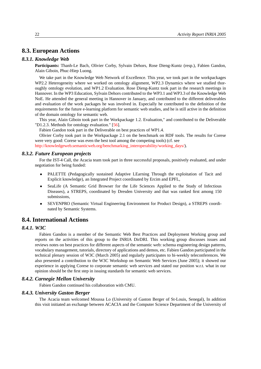## <span id="page-27-0"></span>**8.3. European Actions**

### *8.3.1. Knowledge Web*

<span id="page-27-1"></span>**Participants:** Thanh-Le Bach, Olivier Corby, Sylvain Dehors, Rose Dieng-Kuntz (resp.), Fabien Gandon, Alain Giboin, Phuc-Hiep Luong.

We take part in the Knowledge Web Network of Excellence. This year, we took part in the workpackages WP2.2 Heterogeneity where we worked on ontology alignment, WP2.3 Dynamics where we studied thoroughly ontology evolution, and WP1.2 Evaluation. Rose Dieng-Kuntz took part in the research meetings in Hannover. In the WP3 Education, Sylvain Dehors contributed to the WP3.1 and WP3.3 of the Knowledge Web NoE. He attended the general meeting in Hannover in January, and contributed to the different deliverables and evaluation of the work packages he was involved in. Especially he contributed to the definition of the requirements for the future e-learning platform for semantic web studies, and he is still active in the definition of the domain ontology for semantic web.

This year, Alain Giboin took part in the Workpackage 1.2. Evaluation," and contributed to the Deliverable "D1.2.3. Methods for ontology evaluation." [\[56\]](#page-39-8).

Fabien Gandon took part in the Deliverable on best practices of WP1.4.

Olivier Corby took part in the Workpackage 2.1 on the benchmark on RDF tools. The results for Corese were very good: Corese was even the best tool among the competing tools) (cf. see

<span id="page-27-2"></span>[http://knowledgeweb.semanticweb.org/benchmarking\\_interoperability/working\\_days/\)](http://knowledgeweb.semanticweb.org/benchmarking_interoperability/working_days/).

#### *8.3.2. Future European projects*

For the IST-4 Call, the Acacia team took part in three successful proposals, positively evaluated, and under negotiation for being funded:

- PALETTE (Pedagogically sustained Adaptive LEarning Through the exploitation of Tacit and Explicit knowledge), an Integrated Project coordinated by Ercim and EPFL,
- SeaLife (A Semantic Grid Browser for the Life Sciences Applied to the Study of Infectious Diseases), a STREPS, coordinated by Dresden University and that was ranked first among 150 submissions,
- SEVENPRO (Semantic Virtual Engineering Environment for Product Design), a STREPS coordinated by Semantic Systems.

## <span id="page-27-3"></span>**8.4. International Actions**

## *8.4.1. W3C*

<span id="page-27-4"></span>Fabien Gandon is a member of the Semantic Web Best Practices and Deployment Working group and reports on the activities of this group to the INRIA DirDRI. This working group discusses issues and reviews notes on best practices for different aspects of the semantic web: schema engineering design patterns, vocabulary management, tutorials, directory of applications and demos, etc. Fabien Gandon participated in the technical plenary session of W3C (March 2005) and regularly participates to bi-weekly teleconferences. We also presented a contribution to the W3C Workshop on Semantic Web Services (June 2005); it showed our experience in applying Corese to corporate semantic web services and stated our position w.r.t. what in our opinion should be the first step in issuing standards for semantic web services.

#### *8.4.2. Carnegie Mellon University*

<span id="page-27-6"></span><span id="page-27-5"></span>Fabien Gandon continued his collaboration with CMU.

#### *8.4.3. University Gaston Berger*

The Acacia team welcomed Moussa Lo (University of Gaston Berger of St-Louis, Senegal), In addition this visit initiated an exchange between ACACIA and the Computer Science Department of the University of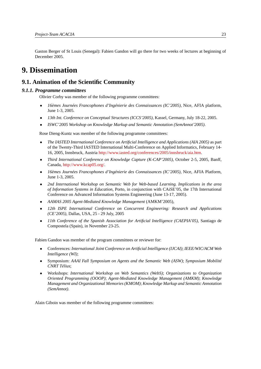Gaston Berger of St Louis (Senegal): Fabien Gandon will go there for two weeks of lectures at beginning of December 2005.

## <span id="page-28-0"></span>**9. Dissemination**

## <span id="page-28-1"></span>**9.1. Animation of the Scientific Community**

#### *9.1.1. Programme committees*

<span id="page-28-2"></span>Olivier Corby was member of the following programme committees:

- *16èmes Journées Francophones d'Ingénierie des Connaissances (IC'2005)*, Nice, AFIA platform, June 1-3, 2005.
- *13th Int. Conference on Conceptual Structures (ICCS'2005)*, Kassel, Germany, July 18-22, 2005.
- *ISWC'2005 Workshop on Knowledge Markup and Semantic Annotation (SemAnnot'2005)*.

Rose Dieng-Kuntz was member of the following programme committees:

- *The IASTED International Conference on Artificial Intelligence and Applications (AIA 2005)* as part of the Twenty-Third IASTED International Multi-Conference on Applied Informatics, February 14- 16, 2005, Innsbruck, Austria [http://www.iasted.org/conferences/2005/innsbruck/aia.htm.](http://www.iasted.org/conferences/2005/innsbruck/aia.htm)
- *Third International Conference on Knowledge Capture (K-CAP'2005)*, October 2-5, 2005, Banff, Canada, [http://www.kcap05.org/.](http://www.kcap05.org/)
- *16èmes Journées Francophones d'Ingénierie des Connaissances (IC'2005)*, Nice, AFIA Platform, June 1-3, 2005.
- *2nd International Workshop on Semantic Web for Web-based Learning. Implications in the area of Information Systems in Education*, Porto, in conjunction with CAiSE'05, the 17th International Conference on Advanced Information Systems Engineering (June 13-17, 2005).
- *AAMAS 2005 Agent-Mediated Knowledge Management* (AMKM'2005),
- *12th ISPE International Conference on Concurrent Engineering: Research and Applications (CE'2005)*, Dallas, USA, 25 - 29 July, 2005
- *11th Conference of the Spanish Association for Artificial Intelligence (CAEPIA'05)*, Santiago de Compostela (Spain), in November 23-25.

Fabien Gandon was member of the program committees or reviewer for:

- Conferences: *International Joint Conference on Artificial Intelligence (IJCAI)*; *IEEE/WIC/ACM Web Intelligence (WI)*;
- Symposium: *AAAI Fall Symposium on Agents and the Semantic Web (ASW)*; *Symposium Mobilité CNRT Télius*;
- Workshops: *International Workshop on Web Semantics (WebS)*; *Organizations to Organization Oriented Programming (OOOP)*; *Agent-Mediated Knowledge Management (AMKM)*; *Knowledge Management and Organizational Memories (KMOM)*; *Knowledge Markup and Semantic Annotation (SemAnnot)*.

Alain Giboin was member of the following programme committees: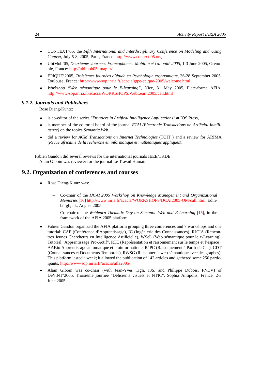- CONTEXT'05, the *Fifth International and Interdisciplinary Conference on Modeling and Using Context*, July 5-8, 2005, Paris, France: <http://www.context-05.org>
- UbiMob'05, *Deuxièmes Journées Francophones: Mobilité et Ubiquité 2005*, 1-3 June 2005, Grenoble, France: <http://ubimob05.imag.fr/>
- ÉPIQUE'2005, *Troisièmes journées d'étude en Psychologie ergonomique*, 26-28 September 2005, Toulouse, France: <http://www-sop.inria.fr/acacia/gtpe/epique-2005/welcome.html>
- *Workshop "Web sémantique pour le E-learning"*, Nice, 31 May 2005, Plate-forme AFIA, <http://www-sop.inria.fr/acacia/WORKSHOPS/WebLearn2005/call.html>

#### *9.1.2. Journals and Publishers*

<span id="page-29-0"></span>Rose Dieng-Kuntz:

- is co-editor of the series *"Frontiers in Artifical Intelligence Applications"* at IOS Press,
- is member of the editorial board of the journal *ETAI (Electronic Transactions on Artificial Intelligence)* on the topics *Semantic Web*.
- did a review for *ACM Transactions on Internet Technologies* (TOIT ) and a review for ARIMA (*Revue africaine de la recherche en informatique et mathéatiques appliqués*).

<span id="page-29-1"></span>Fabien Gandon did several reviews for the international journals IEEE/TKDE. Alain Giboin was reviewer for the journal Le Travail Humain

## **9.2. Organization of conferences and courses**

- Rose Dieng-Kuntz was:
	- Co-chair of the *IJCAI'2005 Workshop on Knowledge Management and Organizational Memories* [\[16\]](#page-35-6) [http://www.inria.fr/acacia/WORKSHOPS/IJCAI2005-OM/call.html,](http://www.inria.fr/acacia/WORKSHOPS/IJCAI2005-OM/call.html) Edinburgh, uk, August 2005.
	- Co-chair of the *Weblearn Thematic Day on Semantic Web and E-Learning* [\[15\]](#page-35-7), in the framework of the AFIA'2005 platform.
- Fabien Gandon organized the AFIA platform grouping three conferences and 7 workshops and one tutorial: CAP (Conférence d'Apprentissage), IC (Ingénierie des Connaissances), RJCIA (Rencontres Jeunes Chercheurs en Intelligence Artificielle), WSeL (Web sémantique pour le e-Learning), Tutorial "Apprentissage Pro-Actif", RTE (Représentation et raisonnement sur le temps et l'espace), AABio Apprentissage automatique et bioinformatique, RàPC (Raisonnement à Partir de Cas), CDT (Connaissances et Documents Temporels), RWSG (Raisonner le web sémantique avec des graphes). This platform lasted a week; it allowed the publication of 142 articles and gathered some 250 participants. <http://www-sop.inria.fr/acacia/afia2005/>
- Alain Giboin was co-chair (with Jean-Yves Tigli, I3S, and Philippe Dubois, FNDV) of DeViNT'2005, Troisième journée "Déficients visuels et NTIC", Sophia Antipolis, France, 2-3 June 2005.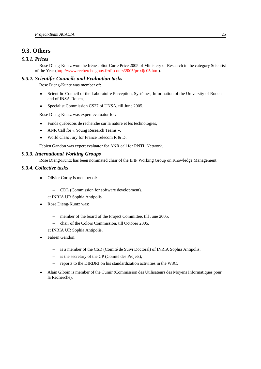## <span id="page-30-0"></span>**9.3. Others**

## *9.3.1. Prices*

<span id="page-30-1"></span>Rose Dieng-Kuntz won the Irène Joliot-Curie Price 2005 of Ministery of Research in the category Scientist of the Year [\(http://www.recherche.gouv.fr/discours/2005/prixijc05.htm\)](http://www.recherche.gouv.fr/discours/2005/prixijc05.htm).

#### *9.3.2. Scientific Councils and Evaluation tasks*

<span id="page-30-2"></span>Rose Dieng-Kuntz was member of:

- Scientific Council of the Laboratoire Perception, Systèmes, Information of the University of Rouen and of INSA-Rouen,
- Specialist Commission CS27 of UNSA, till June 2005.

Rose Dieng-Kuntz was expert evaluator for:

- Fonds québécois de recherche sur la nature et les technologies,
- ANR Call for « Young Research Teams »,
- World Class Jury for France Telecom R & D.

<span id="page-30-3"></span>Fabien Gandon was expert evaluator for ANR call for RNTL Network.

#### *9.3.3. International Working Groups*

<span id="page-30-4"></span>Rose Dieng-Kuntz has been nominated chair of the IFIP Working Group on Knowledge Management.

## *9.3.4. Collective tasks*

- Olivier Corby is member of:
	- CDL (Commission for software development).

at INRIA UR Sophia Antipolis.

- Rose Dieng-Kuntz was:
	- member of the board of the Project Committee, till June 2005,
	- chair of the Colors Commission, till October 2005.

at INRIA UR Sophia Antipolis.

- Fabien Gandon:
	- is a member of the CSD (Comité de Suivi Doctoral) of INRIA Sophia Antipolis,
	- is the secretary of the CP (Comité des Projets),
	- reports to the DIRDRI on his standardization activities in the W3C.
- Alain Giboin is member of the Cumir (Commission des Utilisateurs des Moyens Informatiques pour la Recherche).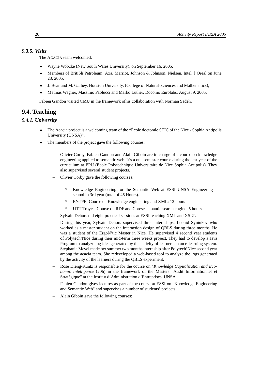## *9.3.5. Visits*

<span id="page-31-0"></span>The ACACIA team welcomed:

- Wayne Wobcke (New South Wales University), on September 16, 2005.
- Members of BritiSh Petroleum, Axa, Marriot, Johnson & Johnson, Nielsen, Intel, l'Oreal on June 23, 2005,
- J. Bear and M. Garbey, Houston University, (College of Natural-Sciences and Mathematics),
- Mathias Wagner, Massimo Paolucci and Marko Luther, Docomo Eurolabs, August 9, 2005.

<span id="page-31-1"></span>Fabien Gandon visited CMU in the framework ofhis collaboration with Norman Sadeh.

## **9.4. Teaching**

## *9.4.1. University*

- <span id="page-31-2"></span>• The Acacia project is a welcoming team of the "École doctorale STIC of the Nice - Sophia Antipolis University (UNSA)".
- The members of the project gave the following courses:
	- Olivier Corby, Fabien Gandon and Alain Giboin are in charge of a course on knowledge engineering applied to semantic web. It's a one semester course during the last year of the curriculum at EPU (Ecole Polytechnique Universitaire de Nice Sophia Antipolis). They also supervised several student projects.
	- Olivier Corby gave the following courses:
		- \* Knowledge Engineering for the Semantic Web at ESSI UNSA Engineering school in 3rd year (total of 45 Hours).
		- \* ENTPE: Course on Knowledge engineering and XML: 12 hours
		- UTT Troyes: Course on RDF and Corese semantic search engine: 5 hours
	- Sylvain Dehors did eight practical sessions at ESSI teaching XML and XSLT.
	- During this year, Sylvain Dehors supervised three internships: Leonid Syniukov who worked as a master student on the interaction design of QBLS during three months. He was a student of the ErgoN'tic Master in Nice. He supervised 4 second year students of Polytech'Nice during their mid-term three weeks project. They had to develop a Java Program to analyze log files generated by the activity of learners on an e-learning system. Stephanie Mevel made her summer two months internship after Polytech'Nice second year among the acacia team. She redeveloped a web-based tool to analyze the logs generated by the activity of the learners during the QBLS experiment.
	- Rose Dieng-Kuntz is responsible for the course on "*Knowledge Capitalization and Economic Intelligence* (20h) in the framework of the Masters "Audit Informationnel et Stratégique" at the Institut d'Administration d'Entreprises, UNSA.
	- Fabien Gandon gives lectures as part of the course at ESSI on "Knowledge Engineering and Semantic Web" and supervises a number of students' projects.
	- Alain Giboin gave the following courses: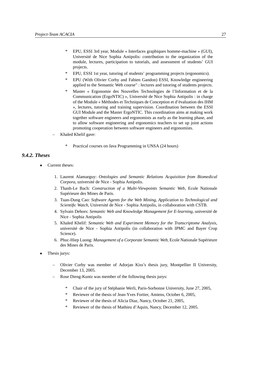- \* EPU, ESSI 3rd year, Module « Interfaces graphiques homme-machine » (GUI), Université de Nice Sophia Antipolis: contribution to the organization of the module, lectures, participation to tutorials, and assessment of students' GUI projects.
- \* EPU, ESSI 1st year, tutoring of students' programming projects (ergonomics).
- \* EPU (With Olivier Corby and Fabien Gandon) ESSI, Knowledge engineering applied to the Semantic Web course" : lectures and tutoring of students projects.
- \* Master « Ergonomie des Nouvelles Technologies de l'Information et de la Communication (ErgoNTIC) », Université de Nice Sophia Antipolis : in charge of the Module « Méthodes et Techniques de Conception et d'évaluation des IHM », lectures, tutoring and training supervision. Coordination between the ESSI GUI Module and the Master ErgoNTIC. This coordination aims at making work together software engineers and ergonomists as early as the learning phase, and to allow software engineering and ergonomics teachers to set up joint actions promoting cooperation between software engineers and ergonomists.
- Khaled Khelif gave:
	- Practical courses on Java Programming in UNSA (24 hours)

#### *9.4.2. Theses*

- <span id="page-32-0"></span>Current theses:
	- 1. Laurent Alamarguy: *Ontologies and Semantic Relations Acquisition from Biomedical Corpora*, université de Nice - Sophia Antipolis.
	- 2. Thanh-Le Bach: *Construction of a Multi-Viewpoints Semantic Web*, Ecole Nationale Supérieure des Mines de Paris.
	- 3. Tuan-Dung Cao: *Software Agents for the Web Mining, Application to Technological and Scientific Watch*, Université de Nice - Sophia Antipolis, in collaboration with CSTB.
	- 4. Sylvain Dehors: *Semantic Web and Knowledge Management for E-learning*, université de Nice - Sophia Antipolis
	- 5. Khaled Khelif: *Semantic Web and Experiment Memory for the Transcriptome Analysis*, université de Nice - Sophia Antipolis (in collaboration with IPMC and Bayer Crop Science).
	- 6. Phuc-Hiep Luong: *Management of a Corporate Semantic Web*, Ecole Nationale Supérieure des Mines de Paris.
- Thesis jurys:
	- Olivier Corby was member of Adorjan Kiss's thesis jury, Montpellier II University, December 13, 2005.
	- Rose Dieng-Kuntz was member of the following thesis jurys:
		- \* Chair of the jury of Stéphanie Werli, Paris-Sorbonne University, June 27, 2005,
		- \* Reviewer of the thesis of Jean-Yves Fortier, Amiens, October 6, 2005,
		- \* Reviewer of the thesis of Alicia Diaz, Nancy, October 21, 2005,
		- \* Reviewer of the thesis of Mathieu d'Aquin, Nancy, December 12, 2005.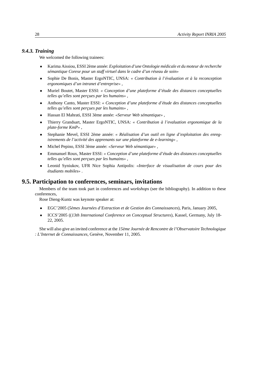#### *9.4.3. Training*

<span id="page-33-0"></span>We welcomed the following trainees:

- Karima Aissiou, ESSI 2ème année: *Exploitation d'une Ontologie médicale et du moteur de recherche sémantique Corese pour un staff virtuel dans le cadre d'un réseau de soin»*
- Sophie De Bonis, Master ErgoNTIC, UNSA: *« Contribution à l'évaluation et à la reconception ergonomiques d'un intranet d'entreprise»* ,
- Muriel Boutet, Master ESSI: *« Conception d'une plateforme d'étude des distances conceptuelles telles qu'elles sont perçues par les humains»* ,
- Anthony Canto, Master ESSI: *« Conception d'une plateforme d'étude des distances conceptuelles telles qu'elles sont perçues par les humains»* ,
- Hassan El Mahrati, ESSI 3ème année: *«Serveur Web sémantique»* ,
- Thierry Grandsart, Master ErgoNTIC, UNSA: *« Contribution à l'evaluation ergonomique de la plate-forme KmP»* ,
- Stephanie Mevel, ESSI 2ème année: *« Réalisation d'un outil en ligne d'exploitation des enregistrements de l'activité des apprenants sur une plateforme de e-learning»* ,
- Michel Pepino, ESSI 3ème année: *«Serveur Web sémantique»* ,
- Emmanuel Roux, Master ESSI: *« Conception d'une plateforme d'étude des distances conceptuelles telles qu'elles sont perçues par les humains»* ,
- Leonid Syniukov, UFR Nice Sophia Antipolis: *«Interface de visualisation de cours pour des étudiants mobiles»* .

## **9.5. Participation to conferences, seminars, invitations**

<span id="page-33-1"></span>Members of the team took part in conferences and *workshops* (see the bibliography). In addition to these conferences,

Rose Dieng-Kuntz was keynote speaker at:

- EGC'2005 (*5èmes Journées d'Extraction et de Gestion des Connaissances*), Paris, January 2005,
- ICCS'2005 ((*13th International Conference on Conceptual Structures*), Kassel, Germany, July 18- 22, 2005.

She will also give an invited conference at the *15ème Journée de Rencontre de l'Observatoire Technologique : L'Internet de Connaissances*, Genève, November 11, 2005.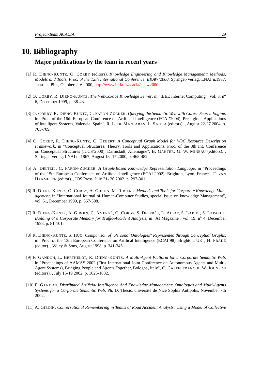## <span id="page-34-0"></span>**10. Bibliography Major publications by the team in recent years**

- [1] R. DIENG-KUNTZ, O. CORBY (editors). *Knowledge Engineering and Knowledge Management: Methods, Models and Tools, Proc. of the 12th International Conference, EKAW'2000*, Springer-Verlag, LNAI n.1937, Juan-les-Pins, October 2 -6 2000, [http://www.inria.fr/acacia/ekaw2000.](http://www.inria.fr/acacia/ekaw2000)
- [2] O. CORBY, R. DIENG-KUNTZ. *The WebCokace Knowledge Server*, in "IEEE Internet Computing", vol. 3, n<sup>o</sup> 6, December 1999, p. 38-43.
- [3] O. CORBY, R. DIENG-KUNTZ, C. FARON-ZUCKER. *Querying the Semantic Web with Corese Search Engine*, in "Proc. of the 16th European Conference on Artificial Intelligence (ECAI'2004), Prestigious Applications of Intelligent Systems, Valencia, Spain", R. L. DE MANTARAS, L. SAITTA (editors). , August 22-27 2004, p. 705-709.
- [4] O. CORBY, R. DIENG-KUNTZ, C. HEBERT. *A Conceptual Graph Model for W3C Resource Description Framework*, in "Conceptual Structures: Theory, Tools and Applications, Proc. of the 8th Int. Conference on Conceptual Structures (ICCS'2000), Darmstadt, Allemagne", B. GANTER, G. W. MINEAU (editors). , Springer-Verlag, LNAI n. 1867, August 13 -17 2000, p. 468-482.
- [5] A. DELTEIL, C. FARON-ZUCKER. *A Graph-Based Knowledge Representation Language*, in "Proceedings of the 15th European Conference on Artificial Intelligence (ECAI 2002), Brighton, Lyon, France", F. VAN HARMELEN (editor). , IOS Press, July 21- 26 2002, p. 297-301.
- [6] R. DIENG-KUNTZ, O. CORBY, A. GIBOIN, M. RIBIÈRE. *Methods and Tools for Corporate Knowledge Management*, in "International Journal of Human-Computer Studies, special issue on knowledge Management", vol. 51, December 1999, p. 567-598.
- [7] R. DIENG-KUNTZ, A. GIBOIN, C. AMERGÉ, O. CORBY, S. DESPRÉS, L. ALPAY, S. LABIDI, S. LAPALUT. *Building of a Corporate Memory for Traffic-Accident Analysis*, in "AI Magazine", vol. 19, n<sup>o</sup> 4, December 1998, p. 81-101.
- [8] R. DIENG-KUNTZ, S. HUG. *Comparison of "Personal Ontologies" Represented through Conceptual Graphs*, in "Proc. of the 13th European Conference on Artifical Intelligence (ECAI'98), Brighton, UK", H. PRADE (editor). , Wiley & Sons, August 1998, p. 341-345.
- [9] F. GANDON, L. BERTHELOT, R. DIENG-KUNTZ. *A Multi-Agent Platform for a Corporate Semantic Web*, in "Proceedings of AAMAS'2002 (First International Joint Conference on Autonomous Agents and Multi-Agent Systems), Bringing People and Agents Together, Bologna, Italy", C. CASTELFRANCHI, W. JOHNSON (editors). , July 15-19 2002, p. 1025-1032.
- [10] F. GANDON. *Distributed Artificial Intelligence And Knowledge Management: Ontologies and Multi-Agents Systems for a Corporate Semantic Web*, Ph. D. Thesis, université de Nice Sophia Antipolis, November 7th 2002.
- [11] A. GIBOIN. *Conversational Remembering in Teams of Road Accident Analysts: Using a Model of Collective*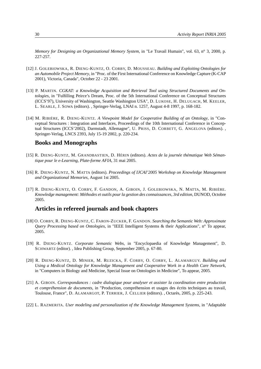*Memory for Designing an Organizational Memory System*, in "Le Travail Humain", vol. 63, n° 3, 2000, p. 227-257.

- <span id="page-35-2"></span>[12] J. GOLEBIOWSKA, R. DIENG-KUNTZ, O. CORBY, D. MOUSSEAU. *Building and Exploiting Ontologies for an Automobile Project Memory*, in "Proc. of the First International Conference on Knowledge Capture (K-CAP 2001), Victoria, Canada", October 22 - 23 2001.
- [13] P. MARTIN. *CGKAT: a Knowledge Acquisition and Retrieval Tool using Structured Documents and Ontologies*, in "Fulfilling Peirce's Dream, Proc. of the 5th International Conference on Conceptual Structures (ICCS'97), University of Washington, Seattle Washington USA", D. LUKOSE, H. DELUGACH, M. KEELER, L. SEARLE, J. SOWA (editors). , Springer-Verlag, LNAI n. 1257, August 4-8 1997, p. 168-182.
- [14] M. RIBIÈRE, R. DIENG-KUNTZ. *A Viewpoint Model for Cooperative Building of an Ontology*, in "Conceptual Structures : Integration and Interfaces, Proceedings of the 10th International Conference in Conceptual Structures (ICCS'2002), Darmstadt, Allemagne", U. PRISS, D. CORBETT, G. ANGELOVA (editors). , Springer-Verlag, LNCS 2393, July 15-19 2002, p. 220-234.

## **Books and Monographs**

- <span id="page-35-7"></span>[15] R. DIENG-KUNTZ, M. GRANDBASTIEN, D. HÉRIN (editors). *Actes de la journée thématique Web Sémantique pour le e-Learning, Plate-forme AFIA*, 31 mai 2005.
- <span id="page-35-6"></span>[16] R. DIENG-KUNTZ, N. MATTA (editors). *Proceedings of IJCAI'2005 Workshop on Knowledge Management and Organizational Memories*, August 1st 2005.
- <span id="page-35-0"></span>[17] R. DIENG-KUNTZ, O. CORBY, F. GANDON, A. GIBOIN, J. GOLEBIOWSKA, N. MATTA, M. RIBIÈRE. *Knowledge management: Méthodes et outils pour la gestion des connaissances, 3rd edition*, DUNOD, Octobre 2005.

## **Articles in refereed journals and book chapters**

- <span id="page-35-3"></span>[18] O. CORBY, R. DIENG-KUNTZ, C. FARON-ZUCKER, F. GANDON. *Searching the Semantic Web: Approximate Query Processing based on Ontologies*, in "IEEE Intelligent Systems & their Applications", n<sup>o</sup> To appear, 2005.
- <span id="page-35-1"></span>[19] R. DIENG-KUNTZ. *Corporate Semantic Webs*, in "Encyclopaedia of Knowledge Management", D. SCHWARTZ (editor). , Idea Publishing Group, September 2005, p. 67-80.
- <span id="page-35-5"></span>[20] R. DIENG-KUNTZ, D. MINIER, M. RUZICKA, F. CORBY, O. CORBY, L. ALAMARGUY. *Building and Using a Medical Ontology for Knowledge Management and Cooperative Work in a Health Care Network*, in "Computers in Biology and Medicine, Special Issue on Ontologies in Medicine", To appear, 2005.
- <span id="page-35-4"></span>[21] A. GIBOIN. *Correspondances : cadre dialogique pour analyser et assister la coordination entre production et compréhension de documents*, in "Production, compréhension et usages des écrits techniques au travail, Toulouse, France", D. ALAMARGOT, P. TERRIER, J. CELLIER (editors). , Octarès, 2005, p. 225-243.
- [22] L. RAZMERITA. *User modeling and personalization of the Knowledge Management Systems*, in "Adaptable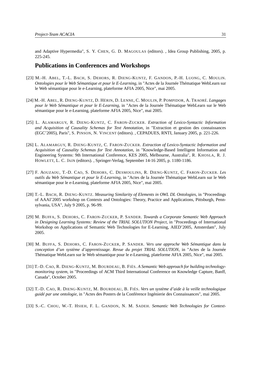and Adaptive Hypermedia", S. Y. CHEN, G. D. MAGOULAS (editors). , Idea Group Publishing, 2005, p. 225-245.

## **Publications in Conferences and Workshops**

- <span id="page-36-5"></span>[23] M.-H. ABEL, T.-L. BACH, S. DEHORS, R. DIENG-KUNTZ, F. GANDON, P.-H. LUONG, C. MOULIN. *Ontologies pour le Web Sémantique et pour le E-Learning*, in "Actes de la Journée Thématique WebLearn sur le Web sémantique pour le e-Learning, plateforme AFIA 2005, Nice", mai 2005.
- <span id="page-36-6"></span>[24] M.-H. ABEL, R. DIENG-KUNTZ, D. HÉRIN, D. LENNE, C. MOULIN, P. POMPIDOR, A. TRAORÉ. *Langages pour le Web Sémantique et pour le E-Learning*, in "Actes de la Journée Thématique WebLearn sur le Web sémantique pour le e-Learning, plateforme AFIA 2005, Nice", mai 2005.
- <span id="page-36-0"></span>[25] L. ALAMARGUY, R. DIENG-KUNTZ, C. FARON-ZUCKER. *Extraction of Lexico-Syntactic Information and Acquisition of Causality Schemas for Text Annotation*, in "Extraction et gestion des connaissances (EGC'2005), Paris", S. PINSON, N. VINCENT (editors). , CEPADUES, RNTI, January 2005, p. 221-226.
- <span id="page-36-1"></span>[26] L. ALAMARGUY, R. DIENG-KUNTZ, C. FARON-ZUCKER. *Extraction of Lexico-Syntactic Information and Acquisition of Causality Schemas for Text Annotation*, in "Knowledge-Based Intelligent Information and Engineering Systems: 9th International Conference, KES 2005, Melbourne, Australia", R. KHOSLA, R. J. HOWLETT, L. C. JAIN (editors). , Springer-Verlag, September 14-16 2005, p. 1180-1186.
- <span id="page-36-7"></span>[27] F. AOUZAOU, T.-D. CAO, S. DEHORS, C. DESMOULINS, R. DIENG-KUNTZ, C. FARON-ZUCKER. *Les outils du Web Sémantique et pour le E-Learning*, in "Actes de la Journée Thématique WebLearn sur le Web sémantique pour le e-Learning, plateforme AFIA 2005, Nice", mai 2005.
- <span id="page-36-2"></span>[28] T.-L. BACH, R. DIENG-KUNTZ. *Measuring Similarity of Elements in OWL DL Ontologies*, in "Proceedings of AAAI'2005 workshop on Contexts and Ontologies: Theory, Practice and Applications, Pittsburgh, Pennsylvania, USA", July 9 2005, p. 96-99.
- [29] M. BUFFA, S. DEHORS, C. FARON-ZUCKER, P. SANDER. *Towards a Corporate Semantic Web Approach in Designing Learning Systems: Review of the TRIAL SOLUTION Project*, in "Proceedings of International Workshop on Applications of Semantic Web Technologies for E-Learning, AIED'2005, Amsterdam", July 2005.
- <span id="page-36-8"></span>[30] M. BUFFA, S. DEHORS, C. FARON-ZUCKER, P. SANDER. *Vers une approche Web Sémantique dans la conception d'un système d'apprentissage. Revue du projet TRIAL SOLUTION*, in "Actes de la Journée Thématique WebLearn sur le Web sémantique pour le e-Learning, plateforme AFIA 2005, Nice", mai 2005.
- <span id="page-36-4"></span>[31] T.-D. CAO, R. DIENG-KUNTZ, M. BOURDEAU, B. FIÈS. *A Semantic Web approach for building technologymonitoring system*, in "Proceedings of ACM Third International Conference on Knowledge Capture, Banff, Canada", October 2005.
- <span id="page-36-3"></span>[32] T.-D. CAO, R. DIENG-KUNTZ, M. BOURDEAU, B. FIÈS. *Vers un système d'aide à la veille technologique guidé par une ontologie*, in "Actes des Posters de la Conférence Ingénierie des Connaissances", mai 2005.
- [33] S.-C. CHOU, W.-T. HSIEH, F. L. GANDON, N. M. SADEH. *Semantic Web Technologies for Context-*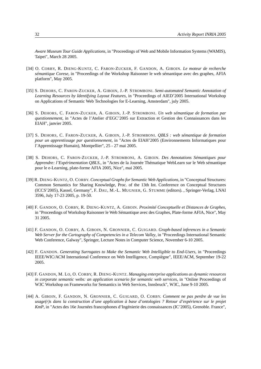*Aware Museum Tour Guide Applications*, in "Proceedings of Web and Mobile Information Systems (WAMIS), Taipei", March 28 2005.

- <span id="page-37-1"></span>[34] O. CORBY, R. DIENG-KUNTZ, C. FARON-ZUCKER, F. GANDON, A. GIBOIN. *Le moteur de recherche sémantique Corese*, in "Proceedings of the Workshop Raisonner le web sémantique avec des graphes, AFIA platform", May 2005.
- <span id="page-37-7"></span>[35] S. DEHORS, C. FARON-ZUCKER, A. GIBOIN, J.-P. STROMBONI. *Semi-automated Semantic Annotation of Learning Resources by Identifying Layout Features*, in "Proceedings of AIED'2005 International Workshop on Applications of Semantic Web Technologies for E-Learning, Amsterdam", july 2005.
- <span id="page-37-4"></span>[36] S. DEHORS, C. FARON-ZUCKER, A. GIBOIN, J.-P. STROMBONI. *Un web sémantique de formation par questionnement*, in "Actes de l'Atelier d'EGC'2005 sur Extraction et Gestion des Connaissances dans les EIAH", janvier 2005.
- <span id="page-37-5"></span>[37] S. DEHORS, C. FARON-ZUCKER, A. GIBOIN, J.-P. STROMBONI. *QBLS : web sémantique de formation pour un apprentissage par questionnement*, in "Actes de EIAH'2005 (Environnements Informatiques pour l'Apprentissage Humain), Montpellier", 25 - 27 mai 2005.
- <span id="page-37-6"></span>[38] S. DEHORS, C. FARON-ZUCKER, J.-P. STROMBONI, A. GIBOIN. *Des Annotations Sémantiques pour Apprendre: l'Expérimentation QBLS.*, in "Actes de la Journée Thématique WebLearn sur le Web sémantique pour le e-Learning, plate-forme AFIA 2005, Nice", mai 2005.
- <span id="page-37-0"></span>[39] R. DIENG-KUNTZ, O. CORBY. *Conceptual Graphs for Semantic Web Applications*, in "Conceptual Structures: Common Semantics for Sharing Knowledge, Proc. of the 13th Int. Conference on Conceptual Structures (ICCS'2005), Kassel, Germany", F. DAU, M.-L. MUGNIER, G. STUMME (editors). , Springer-Verlag, LNAI 3596, July 17-23 2005, p. 19-50.
- <span id="page-37-9"></span>[40] F. GANDON, O. CORBY, R. DIENG-KUNTZ, A. GIBOIN. *Proximité Conceptuelle et Distances de Graphes*, in "Proceedings of Workshop Raisonner le Web Sémantique avec des Graphes, Plate-forme AFIA, Nice", May 31 2005.
- <span id="page-37-3"></span>[41] F. GANDON, O. CORBY, A. GIBOIN, N. GRONNIER, C. GUIGARD. *Graph-based inferences in a Semantic Web Server for the Cartography of Competencies in a Telecom Valley*, in "Proceedings International Semantic Web Conference, Galway", Springer, Lecture Notes in Computer Science, November 6-10 2005.
- <span id="page-37-10"></span>[42] F. GANDON. *Generating Surrogates to Make the Semantic Web Intelligible to End-Users*, in "Proceedings IEEE/WIC/ACM International Conference on Web Intelligence, Compiègne", IEEE/ACM, September 19-22 2005.
- <span id="page-37-8"></span>[43] F. GANDON, M. LO, O. CORBY, R. DIENG-KUNTZ. *Managing enterprise applications as dynamic resources in corporate semantic webs: an application scenario for semantic web services*, in "Online Proceedings of W3C Workshop on Frameworks for Semantics in Web Services, Innsbruck", W3C, June 9-10 2005.
- <span id="page-37-2"></span>[44] A. GIBOIN, F. GANDON, N. GRONNIER, C. GUIGARD, O. CORBY. *Comment ne pas perdre de vue les usage(r)s dans la construction d'une application à base d'ontologies ? Retour d'expérience sur le projet KmP*, in "Actes des 16e Journées francophones d'Ingénierie des connaissances (IC'2005), Grenoble. France",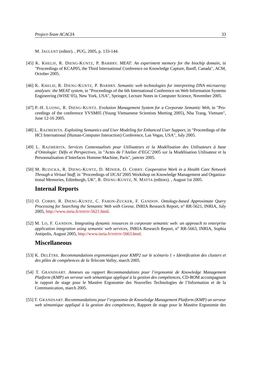M. JAULENT (editor). , PUG, 2005, p. 133-144.

- <span id="page-38-4"></span>[45] K. KHELIF, R. DIENG-KUNTZ, P. BARBRY. *MEAT: An experiment memory for the biochip domain*, in "Proceedings of KCAP05, the Third International Conference on Knowledge Capture, Banff, Canada", ACM, October 2005.
- <span id="page-38-5"></span>[46] K. KHELIF, R. DIENG-KUNTZ, P. BARBRY. *Semantic web technologies for interpreting DNA microarray analyses: the MEAT system*, in "Proceedings of the 6th International Conference on Web Information Systems Engineering (WISE'05), New York, USA", Springer, Lecture Notes in Computer Science, November 2005.
- <span id="page-38-6"></span>[47] P.-H. LUONG, R. DIENG-KUNTZ. *Evolution Management System for a Corporate Semantic Web*, in "Proceedings of the conference YVSM05 (Young Vietnamese Scientists Meeting 2005), Nha Trang, Vietnam", June 12-16 2005.
- [48] L. RAZMERITA. *Exploiting Semantics and User Modeling for Enhanced User Support*, in "Proceedings of the HCI International (Human-Computer Interaction) Conference, Las Vegas, USA", July 2005.
- [49] L. RAZMERITA. *Services Contextualisés pour Utilisateurs et la Modélisation des Utilisateurs à base d'Ontologie: Défis et Perspectives*, in "Actes de l'Atelier d'EGC'2005 sur la Modélisation Utilisateur et la Personnalisation d'Interfaces Homme-Machine, Paris", janvier 2005.
- <span id="page-38-7"></span>[50] M. RUZICKA, R. DIENG-KUNTZ, D. MINIER, O. CORBY. *Cooperative Work in a Health Care Network Through a Virtual Staff*, in "Proceedings of IJCAI'2005 Workshop on Knowledge Management and Organizational Memories, Edimburgh, UK", R. DIENG-KUNTZ, N. MATTA (editors). , August 1st 2005.

#### **Internal Reports**

- <span id="page-38-0"></span>[51] O. CORBY, R. DIENG-KUNTZ, C. FARON-ZUCKER, F. GANDON. *Ontology-based Approximate Query Processing for Searching the Semantic Web with Corese*, INRIA Research Report, n<sup>o</sup> RR-5621, INRIA, July 2005, [http://www.inria.fr/rrrt/rr-5621.html.](http://www.inria.fr/rrrt/rr-5621.html)
- <span id="page-38-8"></span>[52] M. LO, F. GANDON. *Integrating dynamic resources in corporate semantic web: an approach to enterprise application integration using semantic web services*, INRIA Research Report, n<sup>o</sup> RR-5663, INRIA, Sophia Antipolis, August 2005, [http://www.inria.fr/rrrt/rr-5663.html.](http://www.inria.fr/rrrt/rr-5663.html)

## **Miscellaneous**

- <span id="page-38-1"></span>[53] K. DELÊTRE. *Recommandations ergonomiques pour KMP2 sur le scénario 1 « Identification des clusters et des pôles de compétences de la Telecom Valley*, march 2005.
- <span id="page-38-3"></span>[54] T. GRANDSART. *Annexes au rapport Recommandations pour l'ergonomie de Knowledge Management Platform (KMP) un serveur web sémantique appliqué à la gestion des compétences*, CD-ROM accompagnant le rapport de stage pour le Mastère Ergonomie des Nouvelles Technologies de l'Information et de la Communication, march 2005.
- <span id="page-38-2"></span>[55] T. GRANDSART. *Recommandations pour l'ergonomie de Knowledge Management Platform (KMP) un serveur web sémantique appliqué à la gestion des compétences*, Rapport de stage pour le Mastère Ergonomie des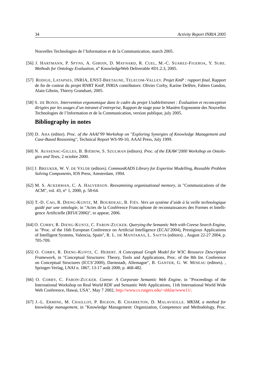Nouvelles Technologies de l'Information et de la Communication, march 2005.

- <span id="page-39-8"></span>[56] J. HARTMANN, P. SPYNS, A. GIBOIN, D. MAYNARD, R. CUEL, M.-C. SUAREZ-FIGEROA, Y. SURE. *Methods for Ontology Evaluation*, n<sup>o</sup> KnowledgeWeb Deliverable #D1.2.3, 2005.
- <span id="page-39-10"></span>[57] RODIGE, LATAPSES, INRIA, ENST-BRETAGNE, TELECOM-VALLEY. *Projet KmP : rapport final*, Rapport de fin de contrat du projet RNRT KmP, INRIA contributors: Olivier Corby, Karine Delêtre, Fabien Gandon, Alain Giboin, Thierry Grandsart, 2005.
- <span id="page-39-9"></span>[58] S. DE BONIS. *Intervention ergonomique dans le cadre du projet UsableIntranet : Évaluation et reconception dirigées par les usages d'un intranet d'entreprise*, Rapport de stage pour le Mastère Ergonomie des Nouvelles Technologies de l'Information et de la Communication, version publique, july 2005.

## **Bibliography in notes**

- <span id="page-39-2"></span>[59] D. AHA (editor). *Proc. of the AAAI'99 Workshop on "Exploring Synergies of Knowledge Management and Case-Based Reasoning"*, Technical Report WS-99-10, AAAI Press, July 1999.
- <span id="page-39-3"></span>[60] N. AUSSENAC-GILLES, B. BIÉBOW, S. SZULMAN (editors). *Proc. of the EKAW'2000 Workshop on Ontologies and Texts*, 2 octobre 2000.
- <span id="page-39-0"></span>[61] J. BREUKER, W. V. DE VELDE (editors). *CommonKADS Library for Expertise Modelling, Reusable Problem Solving Components*, IOS Press, Amsterdam, 1994.
- <span id="page-39-4"></span>[62] M. S. ACKERMAN, C. A. HALVERSON. *Reexamining organizational memory*, in "Communications of the ACM", vol. 43, nº 1, 2000, p. 58-64.
- <span id="page-39-11"></span>[63] T.-D. CAO, R. DIENG-KUNTZ, M. BOURDEAU, B. FIÈS. *Vers un système d'aide à la veille technologique guidé par une ontologie*, in "Actes de la Conférence Francophone de reconnaissances des Formes et Intelligence Artificielle (RFIA'2006)", to appear, 2006.
- <span id="page-39-7"></span>[64] O. CORBY, R. DIENG-KUNTZ, C. FARON-ZUCKER. *Querying the Semantic Web with Corese Search Engine*, in "Proc. of the 16th European Conference on Artificial Intelligence (ECAI'2004), Prestigious Applications of Intelligent Systems, Valencia, Spain", R. L. DE MANTARAS, L. SAITTA (editors). , August 22-27 2004, p. 705-709.
- <span id="page-39-5"></span>[65] O. CORBY, R. DIENG-KUNTZ, C. HEBERT. *A Conceptual Graph Model for W3C Resource Description Framework*, in "Conceptual Structures: Theory, Tools and Applications, Proc. of the 8th Int. Conference on Conceptual Structures (ICCS'2000), Darmstadt, Allemagne", B. GANTER, G. W. MINEAU (editors). , Springer-Verlag, LNAI n. 1867, 13-17 août 2000, p. 468-482.
- <span id="page-39-6"></span>[66] O. CORBY, C. FARON-ZUCKER. *Corese: A Corporate Semantic Web Engine*, in "Proceedings of the International Workshop on Real World RDF and Semantic Web Applications, 11th International World Wide Web Conference, Hawai, USA", May 7 2002, [http://www.cs.rutgers.edu/~shklar/www11/.](http://www.cs.rutgers.edu/~shklar/www11/)
- <span id="page-39-1"></span>[67] J.-L. ERMINE, M. CHAILLOT, P. BIGEON, B. CHARRETON, D. MALAVIEILLE. *MKSM, a method for knowledge management*, in "Knowledge Management: Organization, Competence and Methodology, Proc.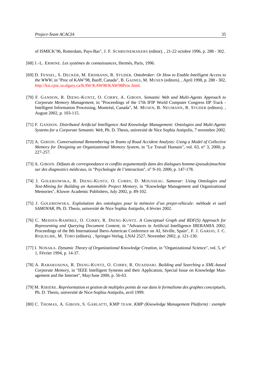of ISMICK'96, Rotterdam, Pays-Bas", J. F. SCHREINEMAKERS (editor). , 21-22 octobre 1996, p. 288 - 302.

- <span id="page-40-1"></span>[68] J.-L. ERMINE. *Les systèmes de connaissances*, Hermès, Paris, 1996.
- <span id="page-40-2"></span>[69] D. FENSEL, S. DECKER, M. ERDMANN, R. STUDER. *Ontobroker: Or How to Enable Intelligent Access to the WWW*, in "Proc of KAW'98, Banff, Canada", B. GAINES, M. MUSEN (editors). , April 1998, p. 288 - 302, [http://ksi.cpsc.ucalgary.ca/KAW/KAW98/KAW98Proc.html.](http://ksi.cpsc.ucalgary.ca/KAW/KAW98/KAW98Proc.html)
- <span id="page-40-4"></span>[70] F. GANDON, R. DIENG-KUNTZ, O. CORBY, A. GIBOIN. *Semantic Web and Multi-Agents Approach to Corporate Memory Management*, in "Proceedings of the 17th IFIP World Computer Congress IIP Track - Intelligent Information Processing, Montréal, Canada", M. MUSEN, B. NEUMANN, R. STUDER (editors). , August 2002, p. 103-115.
- <span id="page-40-5"></span>[71] F. GANDON. *Distributed Artificial Intelligence And Knowledge Management: Ontologies and Multi-Agents Systems for a Corporate Semantic Web*, Ph. D. Thesis, université de Nice Sophia Antipolis, 7 novembre 2002.
- <span id="page-40-9"></span>[72] A. GIBOIN. *Conversational Remembering in Teams of Road Accident Analysts: Using a Model of Collective Memory for Designing an Organizational Memory System*, in "Le Travail Humain", vol. 63, n° 3, 2000, p. 227-257.
- <span id="page-40-10"></span>[73] A. GIBOIN. *Défauts de correspondance et conflits argumentatifs dans des dialogues homme-(pseudo)machine sur des diagnostics médicaux*, in "Psychologie de l'interaction", nº 9-10, 2000, p. 147-178.
- <span id="page-40-7"></span>[74] J. GOLEBIOWSKA, R. DIENG-KUNTZ, O. CORBY, D. MOUSSEAU. *Samovar: Using Ontologies and Text-Mining for Building an Automobile Project Memory*, in "Knowledge Management and Organizational Memories", Kluwer Academic Publishers, July 2002, p. 89-102.
- <span id="page-40-6"></span>[75] J. GOLEBIOWSKA. *Exploitation des ontologies pour la mémoire d'un projet-véhicule: méthode et outil SAMOVAR*, Ph. D. Thesis, université de Nice Sophia Antipolis, 4 février 2002.
- <span id="page-40-8"></span>[76] C. MEDINA-RAMÍREZ, O. CORBY, R. DIENG-KUNTZ. *A Conceptual Graph and RDF(S) Approach for Representing and Querying Document Content*, in "Advances in Artificial Intelligence IBERAMIA 2002, Proceedings of the 8th International Ibero-American Conference on AI, Séville, Spain", F. J. GARIJO, J. C. RIQUELME, M. TORO (editors). , Springer-Verlag, LNAI 2527, November 2002, p. 121-130.
- <span id="page-40-0"></span>[77] I. NONAKA. *Dynamic Theory of Organizational Knowledge Creation*, in "Organizational Science", vol. 5, n<sup>o</sup> 1, Février 1994, p. 14-37.
- <span id="page-40-3"></span>[78] A. RABARIJAONA, R. DIENG-KUNTZ, O. CORBY, R. OUADDARI. *Building and Searching a XML-based Corporate Memory*, in "IEEE Intelligent Systems and their Application, Special Issue on Knowledge Management and the Internet", May/June 2000, p. 56-63.
- <span id="page-40-11"></span>[79] M. RIBIÈRE. *Représentation et gestion de multiples points de vue dans le formalisme des graphes conceptuels*, Ph. D. Thesis, université de Nice-Sophia-Antipolis, avril 1999.
- <span id="page-40-12"></span>[80] C. THOMAS, A. GIBOIN, S. GARLATTI, KMP TEAM. *KMP (Knowledge Management Platform) : exemple*